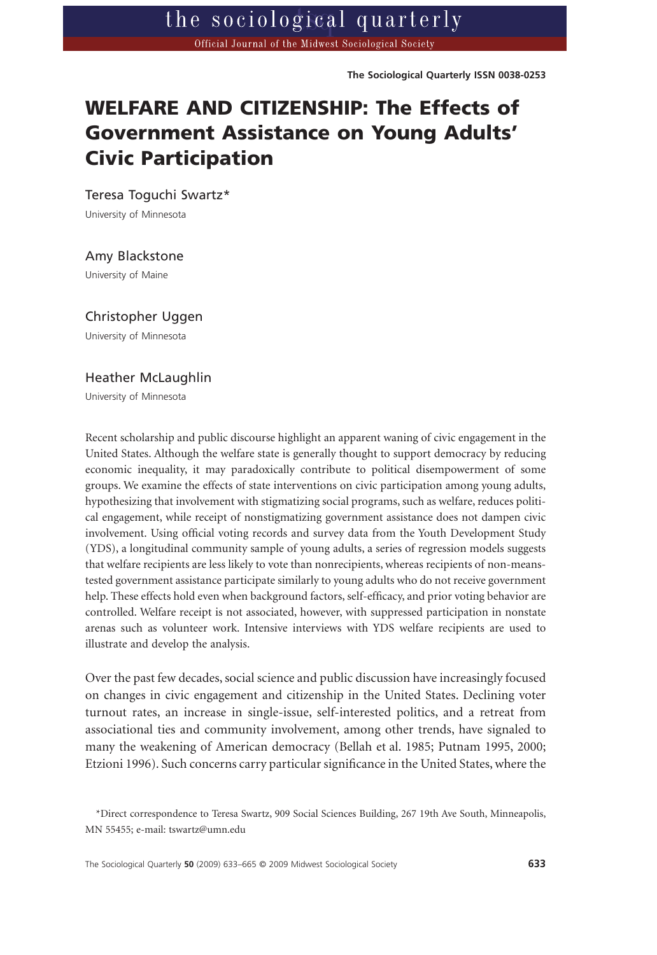**The Sociological Quarterly ISSN 0038-0253**

# **WELFARE AND CITIZENSHIP: The Effects of Government Assistance on Young Adults' Civic Participation**

Teresa Toguchi Swartz\* University of Minnesota

Amy Blackstone University of Maine

Christopher Uggen

University of Minnesota

## Heather McLaughlin

University of Minnesota

Recent scholarship and public discourse highlight an apparent waning of civic engagement in the United States. Although the welfare state is generally thought to support democracy by reducing economic inequality, it may paradoxically contribute to political disempowerment of some groups. We examine the effects of state interventions on civic participation among young adults, hypothesizing that involvement with stigmatizing social programs, such as welfare, reduces political engagement, while receipt of nonstigmatizing government assistance does not dampen civic involvement. Using official voting records and survey data from the Youth Development Study (YDS), a longitudinal community sample of young adults, a series of regression models suggests that welfare recipients are less likely to vote than nonrecipients, whereas recipients of non-meanstested government assistance participate similarly to young adults who do not receive government help. These effects hold even when background factors, self-efficacy, and prior voting behavior are controlled. Welfare receipt is not associated, however, with suppressed participation in nonstate arenas such as volunteer work. Intensive interviews with YDS welfare recipients are used to illustrate and develop the analysis.

Over the past few decades, social science and public discussion have increasingly focused on changes in civic engagement and citizenship in the United States. Declining voter turnout rates, an increase in single-issue, self-interested politics, and a retreat from associational ties and community involvement, among other trends, have signaled to many the weakening of American democracy (Bellah et al. 1985; Putnam 1995, 2000; Etzioni 1996). Such concerns carry particular significance in the United States, where the

\*Direct correspondence to Teresa Swartz, 909 Social Sciences Building, 267 19th Ave South, Minneapolis, MN 55455; e-mail: tswartz@umn.edu

The Sociological Quarterly **50** (2009) 633–665 © 2009 Midwest Sociological Society **633**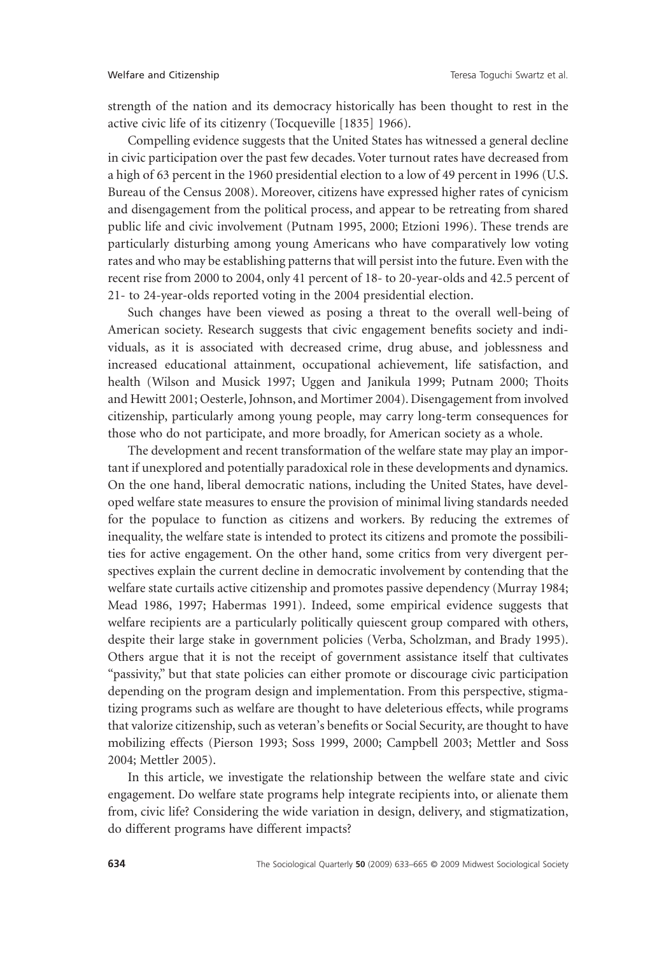strength of the nation and its democracy historically has been thought to rest in the active civic life of its citizenry (Tocqueville [1835] 1966).

Compelling evidence suggests that the United States has witnessed a general decline in civic participation over the past few decades. Voter turnout rates have decreased from a high of 63 percent in the 1960 presidential election to a low of 49 percent in 1996 (U.S. Bureau of the Census 2008). Moreover, citizens have expressed higher rates of cynicism and disengagement from the political process, and appear to be retreating from shared public life and civic involvement (Putnam 1995, 2000; Etzioni 1996). These trends are particularly disturbing among young Americans who have comparatively low voting rates and who may be establishing patterns that will persist into the future. Even with the recent rise from 2000 to 2004, only 41 percent of 18- to 20-year-olds and 42.5 percent of 21- to 24-year-olds reported voting in the 2004 presidential election.

Such changes have been viewed as posing a threat to the overall well-being of American society. Research suggests that civic engagement benefits society and individuals, as it is associated with decreased crime, drug abuse, and joblessness and increased educational attainment, occupational achievement, life satisfaction, and health (Wilson and Musick 1997; Uggen and Janikula 1999; Putnam 2000; Thoits and Hewitt 2001; Oesterle, Johnson, and Mortimer 2004). Disengagement from involved citizenship, particularly among young people, may carry long-term consequences for those who do not participate, and more broadly, for American society as a whole.

The development and recent transformation of the welfare state may play an important if unexplored and potentially paradoxical role in these developments and dynamics. On the one hand, liberal democratic nations, including the United States, have developed welfare state measures to ensure the provision of minimal living standards needed for the populace to function as citizens and workers. By reducing the extremes of inequality, the welfare state is intended to protect its citizens and promote the possibilities for active engagement. On the other hand, some critics from very divergent perspectives explain the current decline in democratic involvement by contending that the welfare state curtails active citizenship and promotes passive dependency (Murray 1984; Mead 1986, 1997; Habermas 1991). Indeed, some empirical evidence suggests that welfare recipients are a particularly politically quiescent group compared with others, despite their large stake in government policies (Verba, Scholzman, and Brady 1995). Others argue that it is not the receipt of government assistance itself that cultivates "passivity," but that state policies can either promote or discourage civic participation depending on the program design and implementation. From this perspective, stigmatizing programs such as welfare are thought to have deleterious effects, while programs that valorize citizenship, such as veteran's benefits or Social Security, are thought to have mobilizing effects (Pierson 1993; Soss 1999, 2000; Campbell 2003; Mettler and Soss 2004; Mettler 2005).

In this article, we investigate the relationship between the welfare state and civic engagement. Do welfare state programs help integrate recipients into, or alienate them from, civic life? Considering the wide variation in design, delivery, and stigmatization, do different programs have different impacts?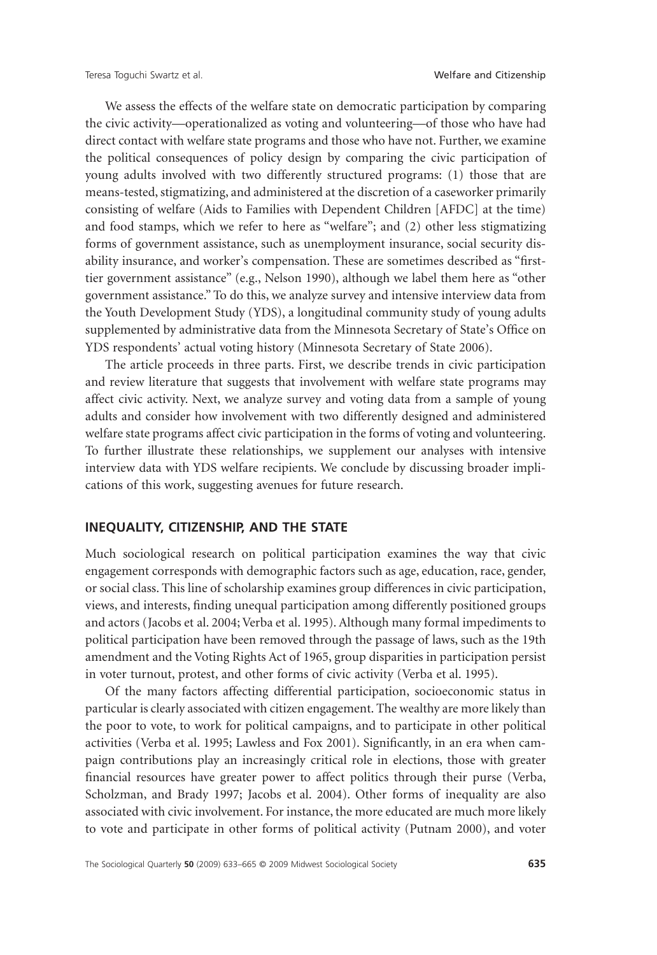We assess the effects of the welfare state on democratic participation by comparing the civic activity—operationalized as voting and volunteering—of those who have had direct contact with welfare state programs and those who have not. Further, we examine the political consequences of policy design by comparing the civic participation of young adults involved with two differently structured programs: (1) those that are means-tested, stigmatizing, and administered at the discretion of a caseworker primarily consisting of welfare (Aids to Families with Dependent Children [AFDC] at the time) and food stamps, which we refer to here as "welfare"; and (2) other less stigmatizing forms of government assistance, such as unemployment insurance, social security disability insurance, and worker's compensation. These are sometimes described as "firsttier government assistance" (e.g., Nelson 1990), although we label them here as "other government assistance." To do this, we analyze survey and intensive interview data from the Youth Development Study (YDS), a longitudinal community study of young adults supplemented by administrative data from the Minnesota Secretary of State's Office on YDS respondents' actual voting history (Minnesota Secretary of State 2006).

The article proceeds in three parts. First, we describe trends in civic participation and review literature that suggests that involvement with welfare state programs may affect civic activity. Next, we analyze survey and voting data from a sample of young adults and consider how involvement with two differently designed and administered welfare state programs affect civic participation in the forms of voting and volunteering. To further illustrate these relationships, we supplement our analyses with intensive interview data with YDS welfare recipients. We conclude by discussing broader implications of this work, suggesting avenues for future research.

## **INEQUALITY, CITIZENSHIP, AND THE STATE**

Much sociological research on political participation examines the way that civic engagement corresponds with demographic factors such as age, education, race, gender, or social class. This line of scholarship examines group differences in civic participation, views, and interests, finding unequal participation among differently positioned groups and actors (Jacobs et al. 2004; Verba et al. 1995). Although many formal impediments to political participation have been removed through the passage of laws, such as the 19th amendment and the Voting Rights Act of 1965, group disparities in participation persist in voter turnout, protest, and other forms of civic activity (Verba et al. 1995).

Of the many factors affecting differential participation, socioeconomic status in particular is clearly associated with citizen engagement. The wealthy are more likely than the poor to vote, to work for political campaigns, and to participate in other political activities (Verba et al. 1995; Lawless and Fox 2001). Significantly, in an era when campaign contributions play an increasingly critical role in elections, those with greater financial resources have greater power to affect politics through their purse (Verba, Scholzman, and Brady 1997; Jacobs et al. 2004). Other forms of inequality are also associated with civic involvement. For instance, the more educated are much more likely to vote and participate in other forms of political activity (Putnam 2000), and voter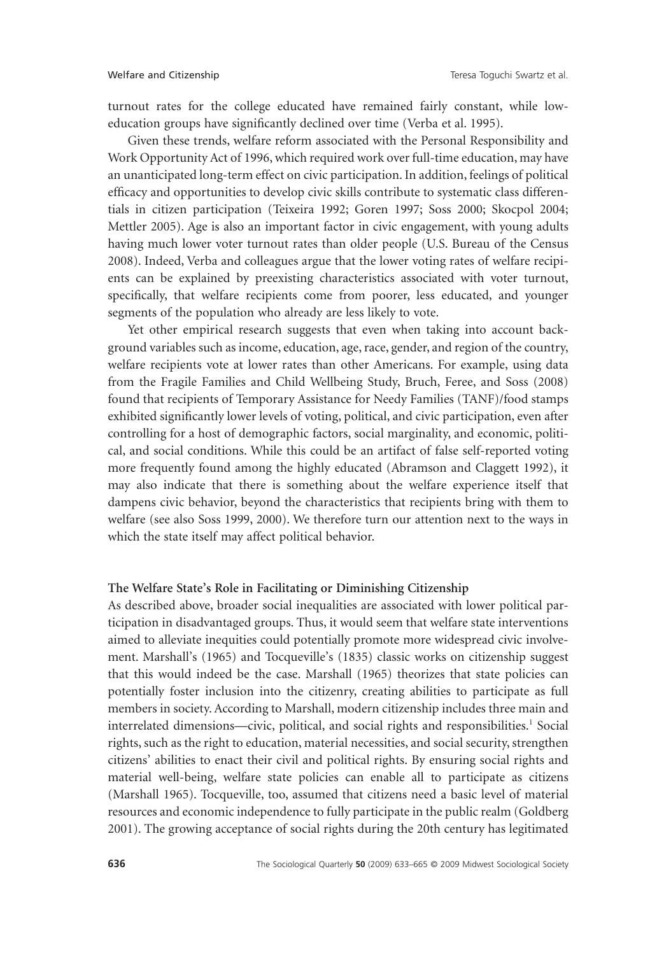turnout rates for the college educated have remained fairly constant, while loweducation groups have significantly declined over time (Verba et al. 1995).

Given these trends, welfare reform associated with the Personal Responsibility and Work Opportunity Act of 1996, which required work over full-time education, may have an unanticipated long-term effect on civic participation. In addition, feelings of political efficacy and opportunities to develop civic skills contribute to systematic class differentials in citizen participation (Teixeira 1992; Goren 1997; Soss 2000; Skocpol 2004; Mettler 2005). Age is also an important factor in civic engagement, with young adults having much lower voter turnout rates than older people (U.S. Bureau of the Census 2008). Indeed, Verba and colleagues argue that the lower voting rates of welfare recipients can be explained by preexisting characteristics associated with voter turnout, specifically, that welfare recipients come from poorer, less educated, and younger segments of the population who already are less likely to vote.

Yet other empirical research suggests that even when taking into account background variables such as income, education, age, race, gender, and region of the country, welfare recipients vote at lower rates than other Americans. For example, using data from the Fragile Families and Child Wellbeing Study, Bruch, Feree, and Soss (2008) found that recipients of Temporary Assistance for Needy Families (TANF)/food stamps exhibited significantly lower levels of voting, political, and civic participation, even after controlling for a host of demographic factors, social marginality, and economic, political, and social conditions. While this could be an artifact of false self-reported voting more frequently found among the highly educated (Abramson and Claggett 1992), it may also indicate that there is something about the welfare experience itself that dampens civic behavior, beyond the characteristics that recipients bring with them to welfare (see also Soss 1999, 2000). We therefore turn our attention next to the ways in which the state itself may affect political behavior.

#### **The Welfare State's Role in Facilitating or Diminishing Citizenship**

As described above, broader social inequalities are associated with lower political participation in disadvantaged groups. Thus, it would seem that welfare state interventions aimed to alleviate inequities could potentially promote more widespread civic involvement. Marshall's (1965) and Tocqueville's (1835) classic works on citizenship suggest that this would indeed be the case. Marshall (1965) theorizes that state policies can potentially foster inclusion into the citizenry, creating abilities to participate as full members in society. According to Marshall, modern citizenship includes three main and interrelated dimensions—civic, political, and social rights and responsibilities.<sup>1</sup> Social rights, such as the right to education, material necessities, and social security, strengthen citizens' abilities to enact their civil and political rights. By ensuring social rights and material well-being, welfare state policies can enable all to participate as citizens (Marshall 1965). Tocqueville, too, assumed that citizens need a basic level of material resources and economic independence to fully participate in the public realm (Goldberg 2001). The growing acceptance of social rights during the 20th century has legitimated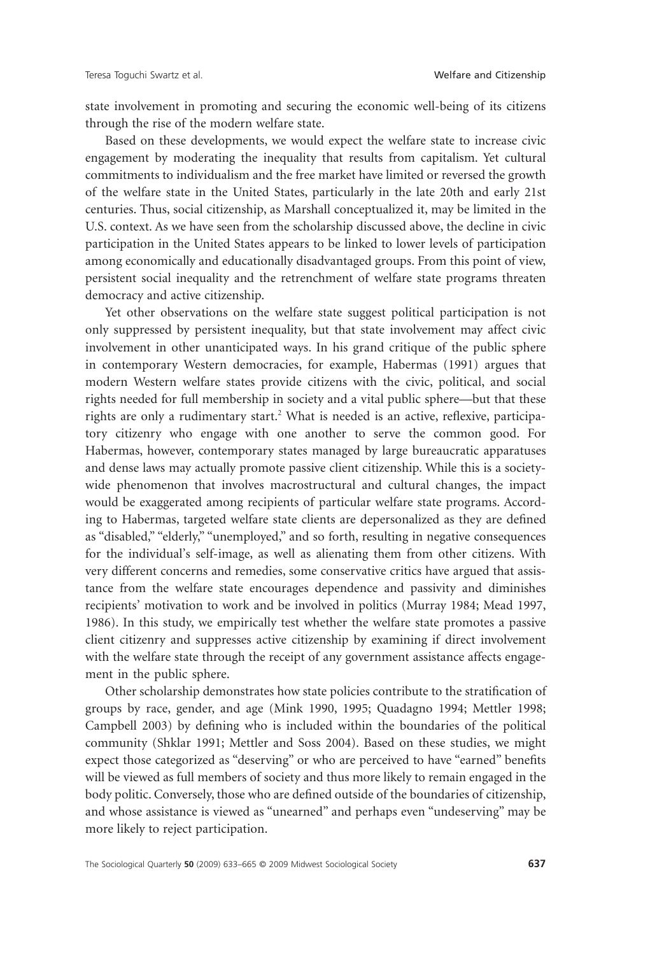state involvement in promoting and securing the economic well-being of its citizens through the rise of the modern welfare state.

Based on these developments, we would expect the welfare state to increase civic engagement by moderating the inequality that results from capitalism. Yet cultural commitments to individualism and the free market have limited or reversed the growth of the welfare state in the United States, particularly in the late 20th and early 21st centuries. Thus, social citizenship, as Marshall conceptualized it, may be limited in the U.S. context. As we have seen from the scholarship discussed above, the decline in civic participation in the United States appears to be linked to lower levels of participation among economically and educationally disadvantaged groups. From this point of view, persistent social inequality and the retrenchment of welfare state programs threaten democracy and active citizenship.

Yet other observations on the welfare state suggest political participation is not only suppressed by persistent inequality, but that state involvement may affect civic involvement in other unanticipated ways. In his grand critique of the public sphere in contemporary Western democracies, for example, Habermas (1991) argues that modern Western welfare states provide citizens with the civic, political, and social rights needed for full membership in society and a vital public sphere—but that these rights are only a rudimentary start.<sup>2</sup> What is needed is an active, reflexive, participatory citizenry who engage with one another to serve the common good. For Habermas, however, contemporary states managed by large bureaucratic apparatuses and dense laws may actually promote passive client citizenship. While this is a societywide phenomenon that involves macrostructural and cultural changes, the impact would be exaggerated among recipients of particular welfare state programs. According to Habermas, targeted welfare state clients are depersonalized as they are defined as "disabled," "elderly," "unemployed," and so forth, resulting in negative consequences for the individual's self-image, as well as alienating them from other citizens. With very different concerns and remedies, some conservative critics have argued that assistance from the welfare state encourages dependence and passivity and diminishes recipients' motivation to work and be involved in politics (Murray 1984; Mead 1997, 1986). In this study, we empirically test whether the welfare state promotes a passive client citizenry and suppresses active citizenship by examining if direct involvement with the welfare state through the receipt of any government assistance affects engagement in the public sphere.

Other scholarship demonstrates how state policies contribute to the stratification of groups by race, gender, and age (Mink 1990, 1995; Quadagno 1994; Mettler 1998; Campbell 2003) by defining who is included within the boundaries of the political community (Shklar 1991; Mettler and Soss 2004). Based on these studies, we might expect those categorized as "deserving" or who are perceived to have "earned" benefits will be viewed as full members of society and thus more likely to remain engaged in the body politic. Conversely, those who are defined outside of the boundaries of citizenship, and whose assistance is viewed as "unearned" and perhaps even "undeserving" may be more likely to reject participation.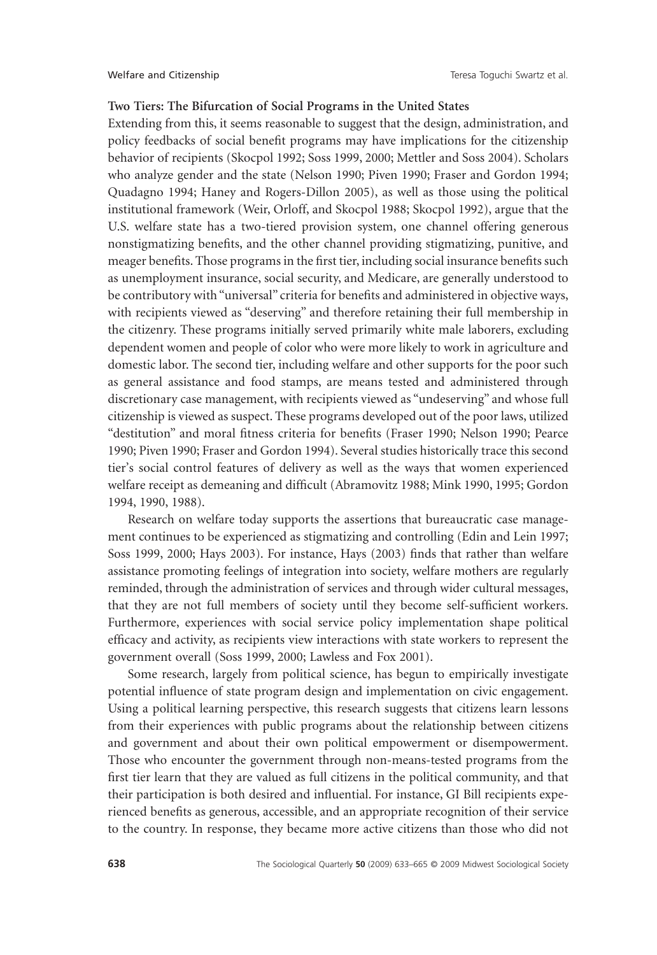## **Two Tiers: The Bifurcation of Social Programs in the United States**

Extending from this, it seems reasonable to suggest that the design, administration, and policy feedbacks of social benefit programs may have implications for the citizenship behavior of recipients (Skocpol 1992; Soss 1999, 2000; Mettler and Soss 2004). Scholars who analyze gender and the state (Nelson 1990; Piven 1990; Fraser and Gordon 1994; Quadagno 1994; Haney and Rogers-Dillon 2005), as well as those using the political institutional framework (Weir, Orloff, and Skocpol 1988; Skocpol 1992), argue that the U.S. welfare state has a two-tiered provision system, one channel offering generous nonstigmatizing benefits, and the other channel providing stigmatizing, punitive, and meager benefits. Those programs in the first tier, including social insurance benefits such as unemployment insurance, social security, and Medicare, are generally understood to be contributory with "universal" criteria for benefits and administered in objective ways, with recipients viewed as "deserving" and therefore retaining their full membership in the citizenry. These programs initially served primarily white male laborers, excluding dependent women and people of color who were more likely to work in agriculture and domestic labor. The second tier, including welfare and other supports for the poor such as general assistance and food stamps, are means tested and administered through discretionary case management, with recipients viewed as "undeserving" and whose full citizenship is viewed as suspect. These programs developed out of the poor laws, utilized "destitution" and moral fitness criteria for benefits (Fraser 1990; Nelson 1990; Pearce 1990; Piven 1990; Fraser and Gordon 1994). Several studies historically trace this second tier's social control features of delivery as well as the ways that women experienced welfare receipt as demeaning and difficult (Abramovitz 1988; Mink 1990, 1995; Gordon 1994, 1990, 1988).

Research on welfare today supports the assertions that bureaucratic case management continues to be experienced as stigmatizing and controlling (Edin and Lein 1997; Soss 1999, 2000; Hays 2003). For instance, Hays (2003) finds that rather than welfare assistance promoting feelings of integration into society, welfare mothers are regularly reminded, through the administration of services and through wider cultural messages, that they are not full members of society until they become self-sufficient workers. Furthermore, experiences with social service policy implementation shape political efficacy and activity, as recipients view interactions with state workers to represent the government overall (Soss 1999, 2000; Lawless and Fox 2001).

Some research, largely from political science, has begun to empirically investigate potential influence of state program design and implementation on civic engagement. Using a political learning perspective, this research suggests that citizens learn lessons from their experiences with public programs about the relationship between citizens and government and about their own political empowerment or disempowerment. Those who encounter the government through non-means-tested programs from the first tier learn that they are valued as full citizens in the political community, and that their participation is both desired and influential. For instance, GI Bill recipients experienced benefits as generous, accessible, and an appropriate recognition of their service to the country. In response, they became more active citizens than those who did not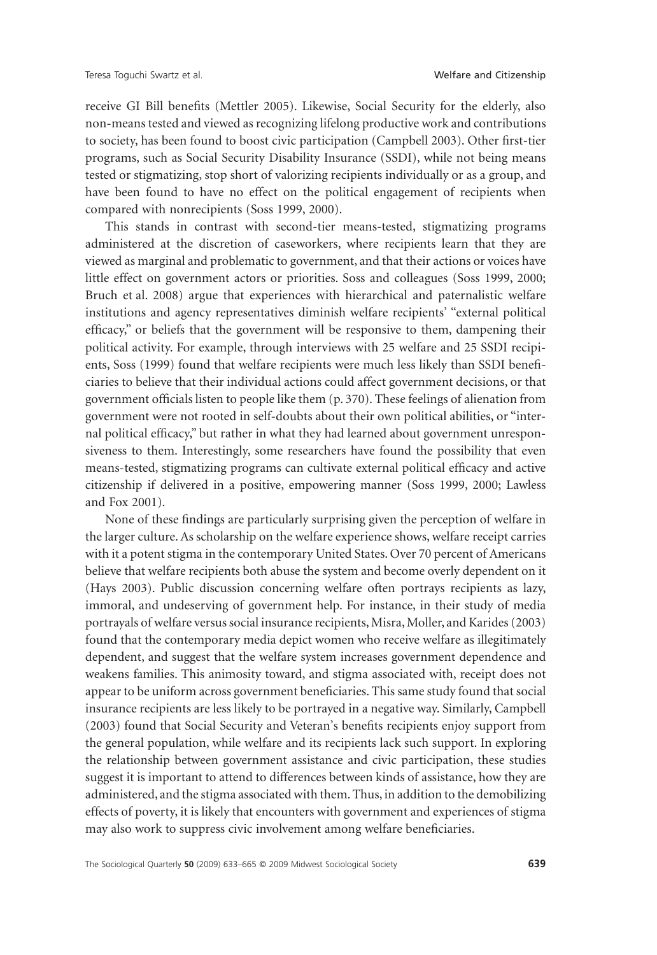receive GI Bill benefits (Mettler 2005). Likewise, Social Security for the elderly, also non-means tested and viewed as recognizing lifelong productive work and contributions to society, has been found to boost civic participation (Campbell 2003). Other first-tier programs, such as Social Security Disability Insurance (SSDI), while not being means tested or stigmatizing, stop short of valorizing recipients individually or as a group, and have been found to have no effect on the political engagement of recipients when compared with nonrecipients (Soss 1999, 2000).

This stands in contrast with second-tier means-tested, stigmatizing programs administered at the discretion of caseworkers, where recipients learn that they are viewed as marginal and problematic to government, and that their actions or voices have little effect on government actors or priorities. Soss and colleagues (Soss 1999, 2000; Bruch et al. 2008) argue that experiences with hierarchical and paternalistic welfare institutions and agency representatives diminish welfare recipients' "external political efficacy," or beliefs that the government will be responsive to them, dampening their political activity. For example, through interviews with 25 welfare and 25 SSDI recipients, Soss (1999) found that welfare recipients were much less likely than SSDI beneficiaries to believe that their individual actions could affect government decisions, or that government officials listen to people like them (p. 370). These feelings of alienation from government were not rooted in self-doubts about their own political abilities, or "internal political efficacy," but rather in what they had learned about government unresponsiveness to them. Interestingly, some researchers have found the possibility that even means-tested, stigmatizing programs can cultivate external political efficacy and active citizenship if delivered in a positive, empowering manner (Soss 1999, 2000; Lawless and Fox 2001).

None of these findings are particularly surprising given the perception of welfare in the larger culture. As scholarship on the welfare experience shows, welfare receipt carries with it a potent stigma in the contemporary United States. Over 70 percent of Americans believe that welfare recipients both abuse the system and become overly dependent on it (Hays 2003). Public discussion concerning welfare often portrays recipients as lazy, immoral, and undeserving of government help. For instance, in their study of media portrayals of welfare versus social insurance recipients,Misra,Moller, and Karides (2003) found that the contemporary media depict women who receive welfare as illegitimately dependent, and suggest that the welfare system increases government dependence and weakens families. This animosity toward, and stigma associated with, receipt does not appear to be uniform across government beneficiaries. This same study found that social insurance recipients are less likely to be portrayed in a negative way. Similarly, Campbell (2003) found that Social Security and Veteran's benefits recipients enjoy support from the general population, while welfare and its recipients lack such support. In exploring the relationship between government assistance and civic participation, these studies suggest it is important to attend to differences between kinds of assistance, how they are administered, and the stigma associated with them. Thus, in addition to the demobilizing effects of poverty, it is likely that encounters with government and experiences of stigma may also work to suppress civic involvement among welfare beneficiaries.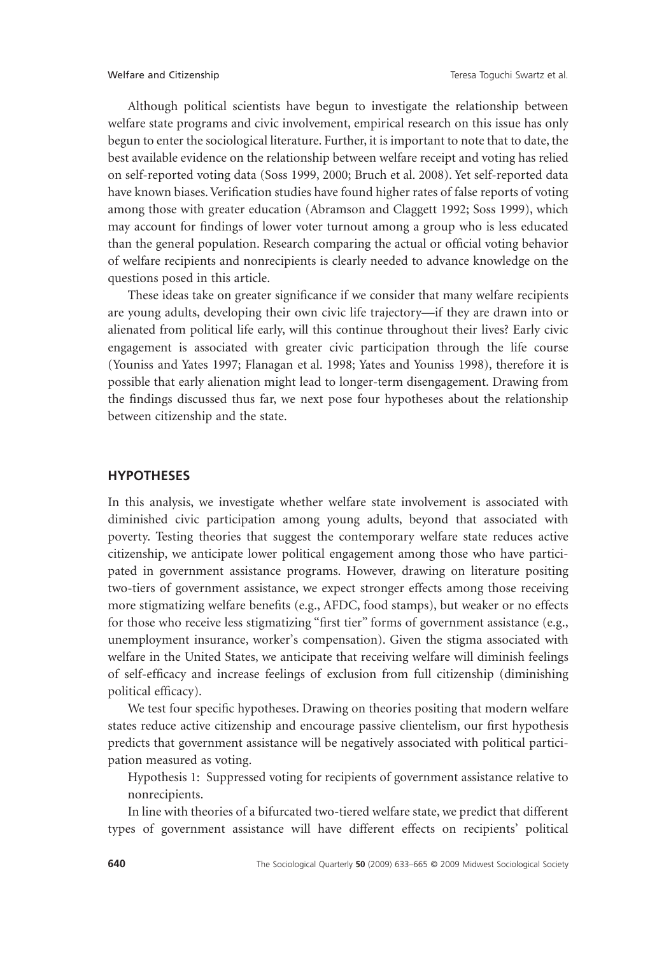Although political scientists have begun to investigate the relationship between welfare state programs and civic involvement, empirical research on this issue has only begun to enter the sociological literature. Further, it is important to note that to date, the best available evidence on the relationship between welfare receipt and voting has relied on self-reported voting data (Soss 1999, 2000; Bruch et al. 2008). Yet self-reported data have known biases. Verification studies have found higher rates of false reports of voting among those with greater education (Abramson and Claggett 1992; Soss 1999), which may account for findings of lower voter turnout among a group who is less educated than the general population. Research comparing the actual or official voting behavior of welfare recipients and nonrecipients is clearly needed to advance knowledge on the questions posed in this article.

These ideas take on greater significance if we consider that many welfare recipients are young adults, developing their own civic life trajectory—if they are drawn into or alienated from political life early, will this continue throughout their lives? Early civic engagement is associated with greater civic participation through the life course (Youniss and Yates 1997; Flanagan et al. 1998; Yates and Youniss 1998), therefore it is possible that early alienation might lead to longer-term disengagement. Drawing from the findings discussed thus far, we next pose four hypotheses about the relationship between citizenship and the state.

## **HYPOTHESES**

In this analysis, we investigate whether welfare state involvement is associated with diminished civic participation among young adults, beyond that associated with poverty. Testing theories that suggest the contemporary welfare state reduces active citizenship, we anticipate lower political engagement among those who have participated in government assistance programs. However, drawing on literature positing two-tiers of government assistance, we expect stronger effects among those receiving more stigmatizing welfare benefits (e.g., AFDC, food stamps), but weaker or no effects for those who receive less stigmatizing "first tier" forms of government assistance (e.g., unemployment insurance, worker's compensation). Given the stigma associated with welfare in the United States, we anticipate that receiving welfare will diminish feelings of self-efficacy and increase feelings of exclusion from full citizenship (diminishing political efficacy).

We test four specific hypotheses. Drawing on theories positing that modern welfare states reduce active citizenship and encourage passive clientelism, our first hypothesis predicts that government assistance will be negatively associated with political participation measured as voting.

Hypothesis 1: Suppressed voting for recipients of government assistance relative to nonrecipients.

In line with theories of a bifurcated two-tiered welfare state, we predict that different types of government assistance will have different effects on recipients' political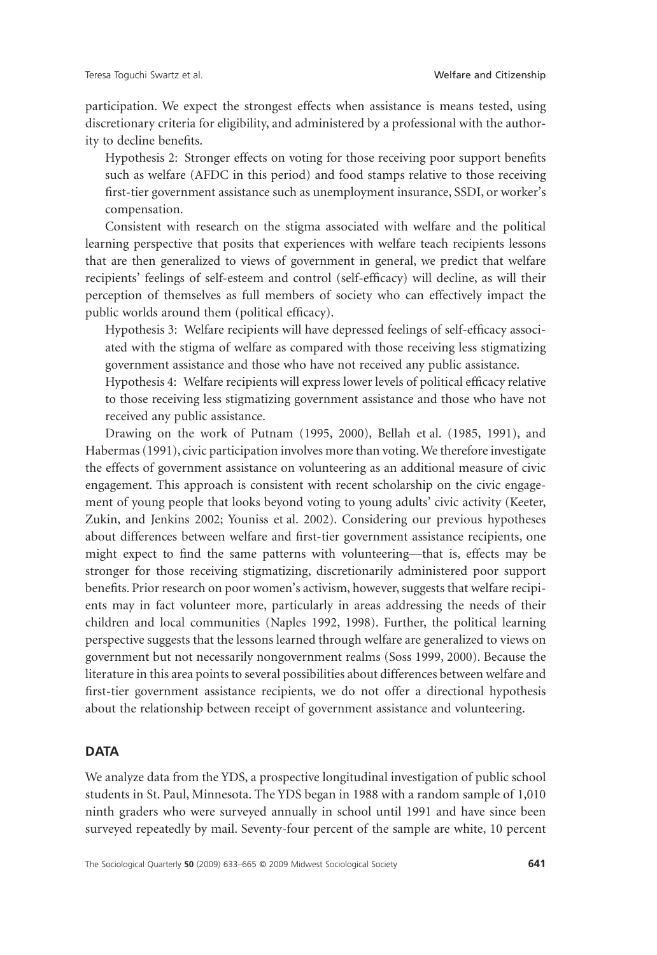participation. We expect the strongest effects when assistance is means tested, using discretionary criteria for eligibility, and administered by a professional with the authority to decline benefits.

Hypothesis 2: Stronger effects on voting for those receiving poor support benefits such as welfare (AFDC in this period) and food stamps relative to those receiving first-tier government assistance such as unemployment insurance, SSDI, or worker's compensation.

Consistent with research on the stigma associated with welfare and the political learning perspective that posits that experiences with welfare teach recipients lessons that are then generalized to views of government in general, we predict that welfare recipients' feelings of self-esteem and control (self-efficacy) will decline, as will their perception of themselves as full members of society who can effectively impact the public worlds around them (political efficacy).

Hypothesis 3: Welfare recipients will have depressed feelings of self-efficacy associated with the stigma of welfare as compared with those receiving less stigmatizing government assistance and those who have not received any public assistance.

Hypothesis 4: Welfare recipients will express lower levels of political efficacy relative to those receiving less stigmatizing government assistance and those who have not received any public assistance.

Drawing on the work of Putnam (1995, 2000), Bellah et al. (1985, 1991), and Habermas (1991), civic participation involves more than voting.We therefore investigate the effects of government assistance on volunteering as an additional measure of civic engagement. This approach is consistent with recent scholarship on the civic engagement of young people that looks beyond voting to young adults' civic activity (Keeter, Zukin, and Jenkins 2002; Youniss et al. 2002). Considering our previous hypotheses about differences between welfare and first-tier government assistance recipients, one might expect to find the same patterns with volunteering—that is, effects may be stronger for those receiving stigmatizing, discretionarily administered poor support benefits. Prior research on poor women's activism, however, suggests that welfare recipients may in fact volunteer more, particularly in areas addressing the needs of their children and local communities (Naples 1992, 1998). Further, the political learning perspective suggests that the lessons learned through welfare are generalized to views on government but not necessarily nongovernment realms (Soss 1999, 2000). Because the literature in this area points to several possibilities about differences between welfare and first-tier government assistance recipients, we do not offer a directional hypothesis about the relationship between receipt of government assistance and volunteering.

#### **DATA**

We analyze data from the YDS, a prospective longitudinal investigation of public school students in St. Paul, Minnesota. The YDS began in 1988 with a random sample of 1,010 ninth graders who were surveyed annually in school until 1991 and have since been surveyed repeatedly by mail. Seventy-four percent of the sample are white, 10 percent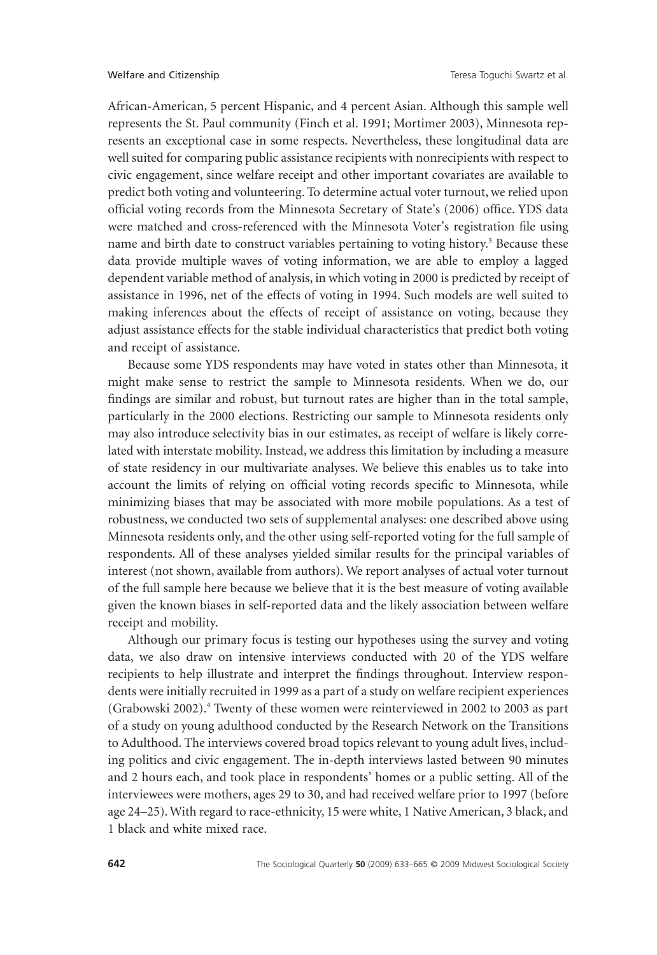African-American, 5 percent Hispanic, and 4 percent Asian. Although this sample well represents the St. Paul community (Finch et al. 1991; Mortimer 2003), Minnesota represents an exceptional case in some respects. Nevertheless, these longitudinal data are well suited for comparing public assistance recipients with nonrecipients with respect to civic engagement, since welfare receipt and other important covariates are available to predict both voting and volunteering. To determine actual voter turnout, we relied upon official voting records from the Minnesota Secretary of State's (2006) office. YDS data were matched and cross-referenced with the Minnesota Voter's registration file using name and birth date to construct variables pertaining to voting history.<sup>3</sup> Because these data provide multiple waves of voting information, we are able to employ a lagged dependent variable method of analysis, in which voting in 2000 is predicted by receipt of assistance in 1996, net of the effects of voting in 1994. Such models are well suited to making inferences about the effects of receipt of assistance on voting, because they adjust assistance effects for the stable individual characteristics that predict both voting and receipt of assistance.

Because some YDS respondents may have voted in states other than Minnesota, it might make sense to restrict the sample to Minnesota residents. When we do, our findings are similar and robust, but turnout rates are higher than in the total sample, particularly in the 2000 elections. Restricting our sample to Minnesota residents only may also introduce selectivity bias in our estimates, as receipt of welfare is likely correlated with interstate mobility. Instead, we address this limitation by including a measure of state residency in our multivariate analyses. We believe this enables us to take into account the limits of relying on official voting records specific to Minnesota, while minimizing biases that may be associated with more mobile populations. As a test of robustness, we conducted two sets of supplemental analyses: one described above using Minnesota residents only, and the other using self-reported voting for the full sample of respondents. All of these analyses yielded similar results for the principal variables of interest (not shown, available from authors). We report analyses of actual voter turnout of the full sample here because we believe that it is the best measure of voting available given the known biases in self-reported data and the likely association between welfare receipt and mobility.

Although our primary focus is testing our hypotheses using the survey and voting data, we also draw on intensive interviews conducted with 20 of the YDS welfare recipients to help illustrate and interpret the findings throughout. Interview respondents were initially recruited in 1999 as a part of a study on welfare recipient experiences (Grabowski 2002).4 Twenty of these women were reinterviewed in 2002 to 2003 as part of a study on young adulthood conducted by the Research Network on the Transitions to Adulthood. The interviews covered broad topics relevant to young adult lives, including politics and civic engagement. The in-depth interviews lasted between 90 minutes and 2 hours each, and took place in respondents' homes or a public setting. All of the interviewees were mothers, ages 29 to 30, and had received welfare prior to 1997 (before age 24–25).With regard to race-ethnicity, 15 were white, 1 Native American, 3 black, and 1 black and white mixed race.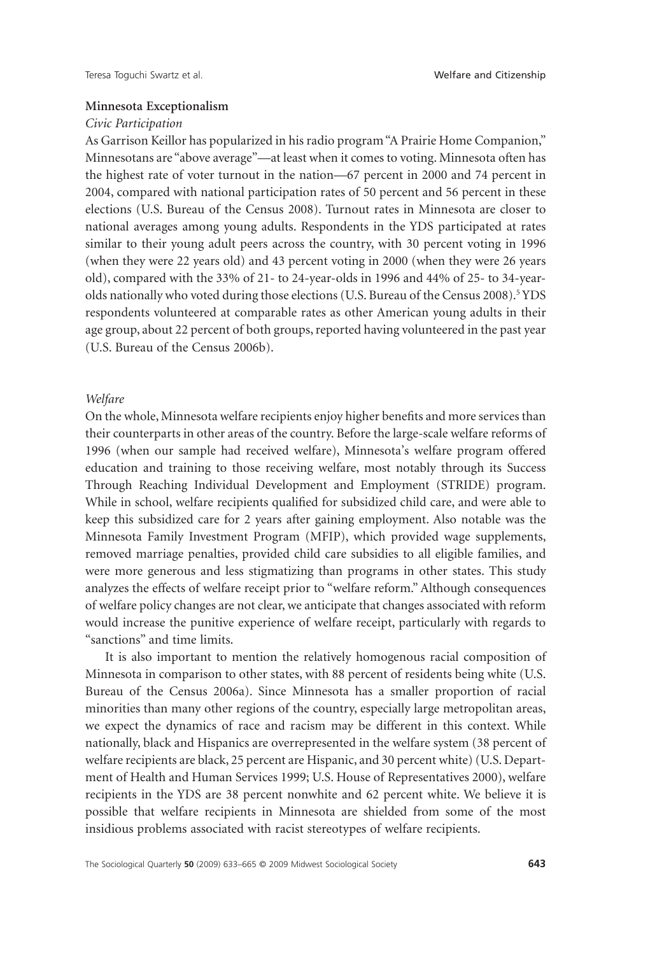### **Minnesota Exceptionalism**

#### *Civic Participation*

As Garrison Keillor has popularized in his radio program "A Prairie Home Companion," Minnesotans are "above average"—at least when it comes to voting. Minnesota often has the highest rate of voter turnout in the nation—67 percent in 2000 and 74 percent in 2004, compared with national participation rates of 50 percent and 56 percent in these elections (U.S. Bureau of the Census 2008). Turnout rates in Minnesota are closer to national averages among young adults. Respondents in the YDS participated at rates similar to their young adult peers across the country, with 30 percent voting in 1996 (when they were 22 years old) and 43 percent voting in 2000 (when they were 26 years old), compared with the 33% of 21- to 24-year-olds in 1996 and 44% of 25- to 34-yearolds nationally who voted during those elections (U.S. Bureau of the Census 2008).<sup>5</sup> YDS respondents volunteered at comparable rates as other American young adults in their age group, about 22 percent of both groups, reported having volunteered in the past year (U.S. Bureau of the Census 2006b).

#### *Welfare*

On the whole, Minnesota welfare recipients enjoy higher benefits and more services than their counterparts in other areas of the country. Before the large-scale welfare reforms of 1996 (when our sample had received welfare), Minnesota's welfare program offered education and training to those receiving welfare, most notably through its Success Through Reaching Individual Development and Employment (STRIDE) program. While in school, welfare recipients qualified for subsidized child care, and were able to keep this subsidized care for 2 years after gaining employment. Also notable was the Minnesota Family Investment Program (MFIP), which provided wage supplements, removed marriage penalties, provided child care subsidies to all eligible families, and were more generous and less stigmatizing than programs in other states. This study analyzes the effects of welfare receipt prior to "welfare reform." Although consequences of welfare policy changes are not clear, we anticipate that changes associated with reform would increase the punitive experience of welfare receipt, particularly with regards to "sanctions" and time limits.

It is also important to mention the relatively homogenous racial composition of Minnesota in comparison to other states, with 88 percent of residents being white (U.S. Bureau of the Census 2006a). Since Minnesota has a smaller proportion of racial minorities than many other regions of the country, especially large metropolitan areas, we expect the dynamics of race and racism may be different in this context. While nationally, black and Hispanics are overrepresented in the welfare system (38 percent of welfare recipients are black, 25 percent are Hispanic, and 30 percent white) (U.S. Department of Health and Human Services 1999; U.S. House of Representatives 2000), welfare recipients in the YDS are 38 percent nonwhite and 62 percent white. We believe it is possible that welfare recipients in Minnesota are shielded from some of the most insidious problems associated with racist stereotypes of welfare recipients.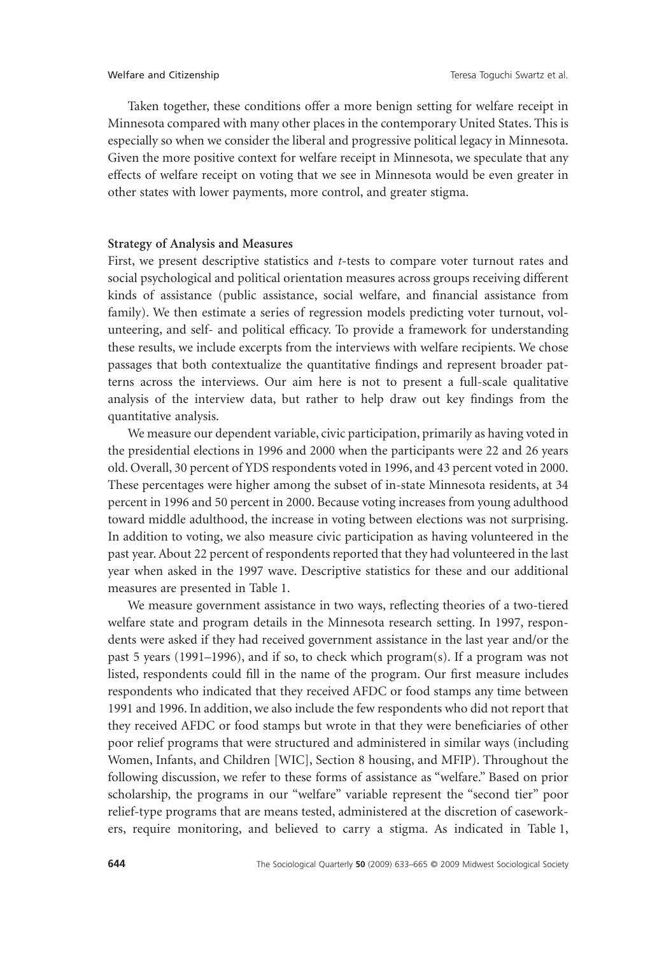Taken together, these conditions offer a more benign setting for welfare receipt in Minnesota compared with many other places in the contemporary United States. This is especially so when we consider the liberal and progressive political legacy in Minnesota. Given the more positive context for welfare receipt in Minnesota, we speculate that any effects of welfare receipt on voting that we see in Minnesota would be even greater in other states with lower payments, more control, and greater stigma.

#### **Strategy of Analysis and Measures**

First, we present descriptive statistics and *t*-tests to compare voter turnout rates and social psychological and political orientation measures across groups receiving different kinds of assistance (public assistance, social welfare, and financial assistance from family). We then estimate a series of regression models predicting voter turnout, volunteering, and self- and political efficacy. To provide a framework for understanding these results, we include excerpts from the interviews with welfare recipients. We chose passages that both contextualize the quantitative findings and represent broader patterns across the interviews. Our aim here is not to present a full-scale qualitative analysis of the interview data, but rather to help draw out key findings from the quantitative analysis.

We measure our dependent variable, civic participation, primarily as having voted in the presidential elections in 1996 and 2000 when the participants were 22 and 26 years old. Overall, 30 percent of YDS respondents voted in 1996, and 43 percent voted in 2000. These percentages were higher among the subset of in-state Minnesota residents, at 34 percent in 1996 and 50 percent in 2000. Because voting increases from young adulthood toward middle adulthood, the increase in voting between elections was not surprising. In addition to voting, we also measure civic participation as having volunteered in the past year. About 22 percent of respondents reported that they had volunteered in the last year when asked in the 1997 wave. Descriptive statistics for these and our additional measures are presented in Table 1.

We measure government assistance in two ways, reflecting theories of a two-tiered welfare state and program details in the Minnesota research setting. In 1997, respondents were asked if they had received government assistance in the last year and/or the past 5 years (1991–1996), and if so, to check which program(s). If a program was not listed, respondents could fill in the name of the program. Our first measure includes respondents who indicated that they received AFDC or food stamps any time between 1991 and 1996. In addition, we also include the few respondents who did not report that they received AFDC or food stamps but wrote in that they were beneficiaries of other poor relief programs that were structured and administered in similar ways (including Women, Infants, and Children [WIC], Section 8 housing, and MFIP). Throughout the following discussion, we refer to these forms of assistance as "welfare." Based on prior scholarship, the programs in our "welfare" variable represent the "second tier" poor relief-type programs that are means tested, administered at the discretion of caseworkers, require monitoring, and believed to carry a stigma. As indicated in Table 1,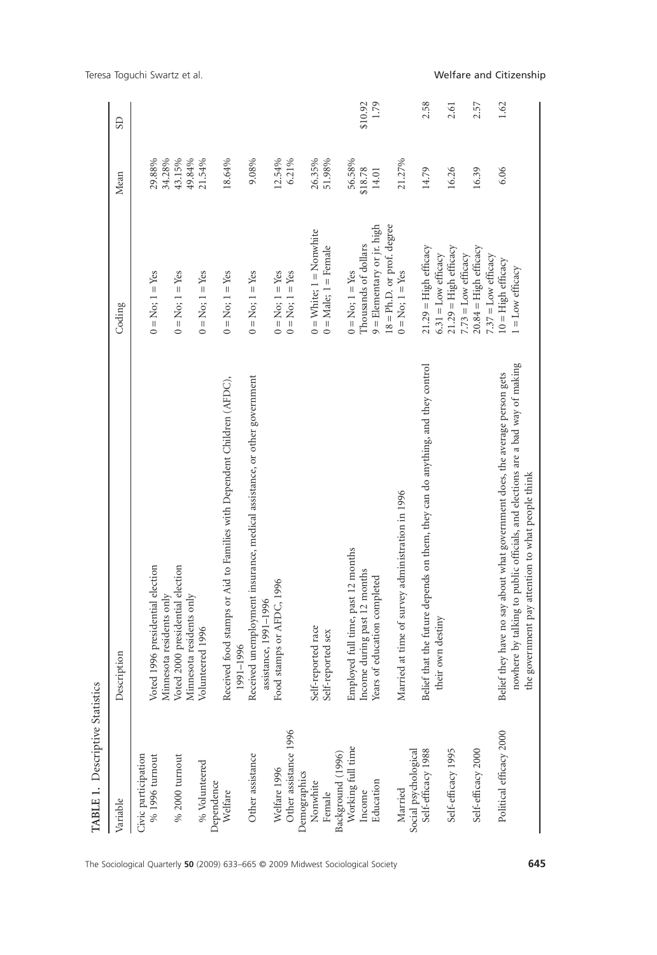| TABLE 1. Descriptive Statistics       |                                                                                                                                                                                                                   |                                                            |                   |           |
|---------------------------------------|-------------------------------------------------------------------------------------------------------------------------------------------------------------------------------------------------------------------|------------------------------------------------------------|-------------------|-----------|
| Variable                              | Description                                                                                                                                                                                                       | Coding                                                     | Mean              | <b>GS</b> |
| Civic participation<br>% 1996 turnout | Voted 1996 presidential election<br>Minnesota residents only                                                                                                                                                      | $0 = No; 1 = Yes$                                          | 29.88%<br>34.28%  |           |
| $% 2000$ turnout                      | Voted 2000 presidential election<br>Minnesota residents only                                                                                                                                                      | $0 = No; 1 = Yes$                                          | 43.15%<br>49.84%  |           |
| % Volunteered                         | Volunteered 1996                                                                                                                                                                                                  | $0 = No; 1 = Yes$                                          | 21.54%            |           |
| Dependence<br>Welfare                 | Received food stamps or Aid to Families with Dependent Children (AFDC),                                                                                                                                           | $0 = No; 1 = Yes$                                          | 18.64%            |           |
| Other assistance                      | Received unemployment insurance, medical assistance, or other government<br>assistance, 1991-1996<br>1991-1996                                                                                                    | $0 = No; 1 = Yes$                                          | 9.08%             |           |
| Welfare 1996                          | Food stamps or AFDC, 1996                                                                                                                                                                                         | $0 = No; 1 = Yes$                                          | 12.54%            |           |
| Other assistance 1996<br>Demographics |                                                                                                                                                                                                                   | $0 = No; 1 = Yes$                                          | 6.21%             |           |
| Nonwhite                              | Self-reported race                                                                                                                                                                                                | $0 =$ White; $1 =$ Nonwhite                                | 26.35%            |           |
| Female                                | Self-reported sex                                                                                                                                                                                                 | $0 = Male$ ; $1 = Female$                                  | 51.98%            |           |
| Background (1996)                     |                                                                                                                                                                                                                   |                                                            |                   |           |
| Working full time<br>Income           | Employed full time, past 12 months                                                                                                                                                                                | Thousands of dollars<br>$0 = No; 1 = Yes$                  | 56.58%<br>\$18.78 | \$10.92   |
| Education                             | Income during past 12 months<br>Years of education completed                                                                                                                                                      | 18 = Ph.D. or prof. degree<br>$9 =$ Elementary or jr. high | 14.01             | 1.79      |
| Social psychological<br>Married       | Married at time of survey administration in 1996                                                                                                                                                                  | $0 = No; 1 = Yes$                                          | 21.27%            |           |
| Self-efficacy 1988                    | Belief that the future depends on them, they can do anything, and they control                                                                                                                                    | $21.29 = High effcacy$<br>$6.31 =$ Low efficacy            | 14.79             | 2.58      |
| Self-efficacy 1995                    | their own destiny                                                                                                                                                                                                 | $21.29 = High effcacy$<br>$7.73 = Low effcacy$             | 16.26             | 2.61      |
| Self-efficacy 2000                    |                                                                                                                                                                                                                   | $20.84 = High effcacy$<br>$7.37 = Low effcacy$             | 16.39             | 2.57      |
| Political efficacy 2000               | nowhere by talking to public officials, and elections are a bad way of making<br>Belief they have no say about what government does, the average person gets<br>the government pay attention to what people think | $10 =$ High efficacy<br>$1 = Low effcacy$                  | 6.06              | 1.62      |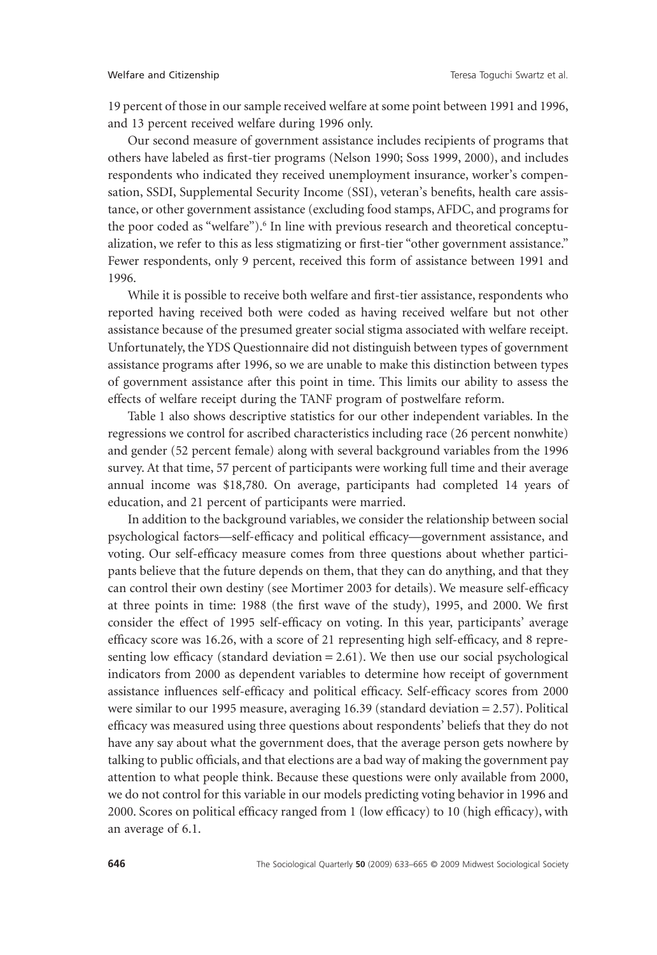19 percent of those in our sample received welfare at some point between 1991 and 1996, and 13 percent received welfare during 1996 only.

Our second measure of government assistance includes recipients of programs that others have labeled as first-tier programs (Nelson 1990; Soss 1999, 2000), and includes respondents who indicated they received unemployment insurance, worker's compensation, SSDI, Supplemental Security Income (SSI), veteran's benefits, health care assistance, or other government assistance (excluding food stamps, AFDC, and programs for the poor coded as "welfare").<sup>6</sup> In line with previous research and theoretical conceptualization, we refer to this as less stigmatizing or first-tier "other government assistance." Fewer respondents, only 9 percent, received this form of assistance between 1991 and 1996.

While it is possible to receive both welfare and first-tier assistance, respondents who reported having received both were coded as having received welfare but not other assistance because of the presumed greater social stigma associated with welfare receipt. Unfortunately, the YDS Questionnaire did not distinguish between types of government assistance programs after 1996, so we are unable to make this distinction between types of government assistance after this point in time. This limits our ability to assess the effects of welfare receipt during the TANF program of postwelfare reform.

Table 1 also shows descriptive statistics for our other independent variables. In the regressions we control for ascribed characteristics including race (26 percent nonwhite) and gender (52 percent female) along with several background variables from the 1996 survey. At that time, 57 percent of participants were working full time and their average annual income was \$18,780. On average, participants had completed 14 years of education, and 21 percent of participants were married.

In addition to the background variables, we consider the relationship between social psychological factors—self-efficacy and political efficacy—government assistance, and voting. Our self-efficacy measure comes from three questions about whether participants believe that the future depends on them, that they can do anything, and that they can control their own destiny (see Mortimer 2003 for details). We measure self-efficacy at three points in time: 1988 (the first wave of the study), 1995, and 2000. We first consider the effect of 1995 self-efficacy on voting. In this year, participants' average efficacy score was 16.26, with a score of 21 representing high self-efficacy, and 8 representing low efficacy (standard deviation = 2.61). We then use our social psychological indicators from 2000 as dependent variables to determine how receipt of government assistance influences self-efficacy and political efficacy. Self-efficacy scores from 2000 were similar to our 1995 measure, averaging 16.39 (standard deviation = 2.57). Political efficacy was measured using three questions about respondents' beliefs that they do not have any say about what the government does, that the average person gets nowhere by talking to public officials, and that elections are a bad way of making the government pay attention to what people think. Because these questions were only available from 2000, we do not control for this variable in our models predicting voting behavior in 1996 and 2000. Scores on political efficacy ranged from 1 (low efficacy) to 10 (high efficacy), with an average of 6.1.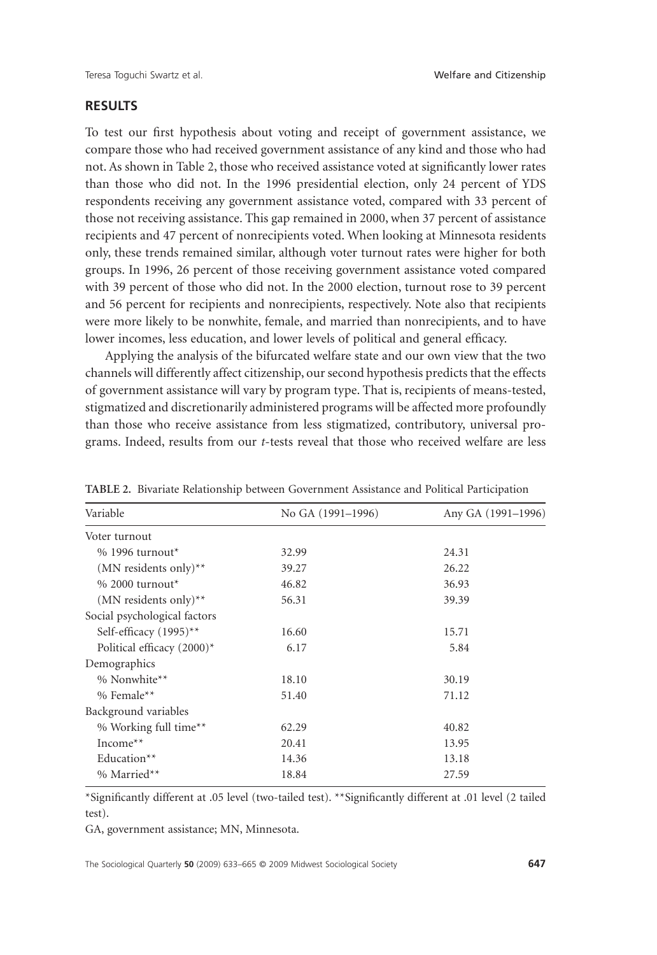## **RESULTS**

To test our first hypothesis about voting and receipt of government assistance, we compare those who had received government assistance of any kind and those who had not. As shown in Table 2, those who received assistance voted at significantly lower rates than those who did not. In the 1996 presidential election, only 24 percent of YDS respondents receiving any government assistance voted, compared with 33 percent of those not receiving assistance. This gap remained in 2000, when 37 percent of assistance recipients and 47 percent of nonrecipients voted. When looking at Minnesota residents only, these trends remained similar, although voter turnout rates were higher for both groups. In 1996, 26 percent of those receiving government assistance voted compared with 39 percent of those who did not. In the 2000 election, turnout rose to 39 percent and 56 percent for recipients and nonrecipients, respectively. Note also that recipients were more likely to be nonwhite, female, and married than nonrecipients, and to have lower incomes, less education, and lower levels of political and general efficacy.

Applying the analysis of the bifurcated welfare state and our own view that the two channels will differently affect citizenship, our second hypothesis predicts that the effects of government assistance will vary by program type. That is, recipients of means-tested, stigmatized and discretionarily administered programs will be affected more profoundly than those who receive assistance from less stigmatized, contributory, universal programs. Indeed, results from our *t*-tests reveal that those who received welfare are less

| Variable                      | No GA (1991–1996) | Any GA (1991-1996) |
|-------------------------------|-------------------|--------------------|
| Voter turnout                 |                   |                    |
| $% 1996$ turnout <sup>*</sup> | 32.99             | 24.31              |
| (MN residents only)**         | 39.27             | 26.22              |
| % 2000 turnout <sup>*</sup>   | 46.82             | 36.93              |
| (MN residents only)**         | 56.31             | 39.39              |
| Social psychological factors  |                   |                    |
| Self-efficacy (1995)**        | 16.60             | 15.71              |
| Political efficacy $(2000)^*$ | 6.17              | 5.84               |
| Demographics                  |                   |                    |
| % Nonwhite**                  | 18.10             | 30.19              |
| % Female $**$                 | 51.40             | 71.12              |
| Background variables          |                   |                    |
| % Working full time**         | 62.29             | 40.82              |
| Income**                      | 20.41             | 13.95              |
| Education**                   | 14.36             | 13.18              |
| % Married**                   | 18.84             | 27.59              |
|                               |                   |                    |

**TABLE 2.** Bivariate Relationship between Government Assistance and Political Participation

\*Significantly different at .05 level (two-tailed test). \*\*Significantly different at .01 level (2 tailed test).

GA, government assistance; MN, Minnesota.

The Sociological Quarterly **50** (2009) 633–665 © 2009 Midwest Sociological Society **647**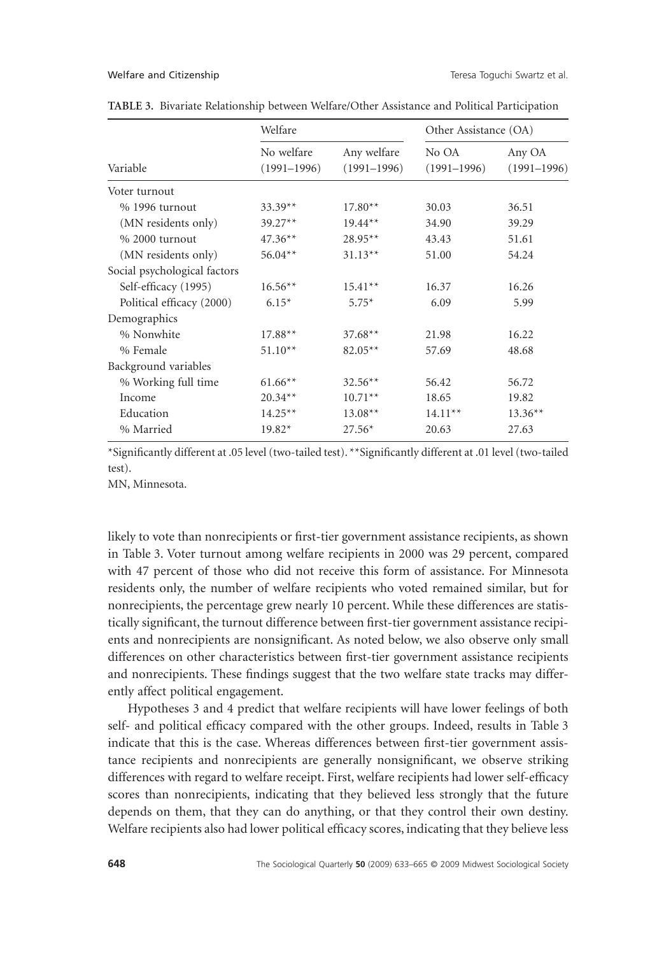#### Welfare and Citizenship Teresa Toguchi Swartz et al.

|                              | Welfare                       |                                | Other Assistance (OA)    |                           |
|------------------------------|-------------------------------|--------------------------------|--------------------------|---------------------------|
| Variable                     | No welfare<br>$(1991 - 1996)$ | Any welfare<br>$(1991 - 1996)$ | No OA<br>$(1991 - 1996)$ | Any OA<br>$(1991 - 1996)$ |
| Voter turnout                |                               |                                |                          |                           |
| % 1996 turnout               | $33.39**$                     | $17.80**$                      | 30.03                    | 36.51                     |
| (MN residents only)          | $39.27**$                     | $19.44**$                      | 34.90                    | 39.29                     |
| % 2000 turnout               | $47.36**$                     | $28.95**$                      | 43.43                    | 51.61                     |
| (MN residents only)          | $56.04**$                     | $31.13**$                      | 51.00                    | 54.24                     |
| Social psychological factors |                               |                                |                          |                           |
| Self-efficacy (1995)         | $16.56**$                     | $15.41**$                      | 16.37                    | 16.26                     |
| Political efficacy (2000)    | $6.15*$                       | $5.75*$                        | 6.09                     | 5.99                      |
| Demographics                 |                               |                                |                          |                           |
| % Nonwhite                   | $17.88**$                     | $37.68**$                      | 21.98                    | 16.22                     |
| % Female                     | $51.10**$                     | $82.05**$                      | 57.69                    | 48.68                     |
| Background variables         |                               |                                |                          |                           |
| % Working full time          | $61.66**$                     | $32.56**$                      | 56.42                    | 56.72                     |
| Income                       | $20.34**$                     | $10.71**$                      | 18.65                    | 19.82                     |
| Education                    | $14.25**$                     | $13.08**$                      | $14.11**$                | $13.36**$                 |
| % Married                    | $19.82*$                      | $27.56*$                       | 20.63                    | 27.63                     |

**TABLE 3.** Bivariate Relationship between Welfare/Other Assistance and Political Participation

\*Significantly different at .05 level (two-tailed test). \*\*Significantly different at .01 level (two-tailed test).

MN, Minnesota.

likely to vote than nonrecipients or first-tier government assistance recipients, as shown in Table 3. Voter turnout among welfare recipients in 2000 was 29 percent, compared with 47 percent of those who did not receive this form of assistance. For Minnesota residents only, the number of welfare recipients who voted remained similar, but for nonrecipients, the percentage grew nearly 10 percent. While these differences are statistically significant, the turnout difference between first-tier government assistance recipients and nonrecipients are nonsignificant. As noted below, we also observe only small differences on other characteristics between first-tier government assistance recipients and nonrecipients. These findings suggest that the two welfare state tracks may differently affect political engagement.

Hypotheses 3 and 4 predict that welfare recipients will have lower feelings of both self- and political efficacy compared with the other groups. Indeed, results in Table 3 indicate that this is the case. Whereas differences between first-tier government assistance recipients and nonrecipients are generally nonsignificant, we observe striking differences with regard to welfare receipt. First, welfare recipients had lower self-efficacy scores than nonrecipients, indicating that they believed less strongly that the future depends on them, that they can do anything, or that they control their own destiny. Welfare recipients also had lower political efficacy scores, indicating that they believe less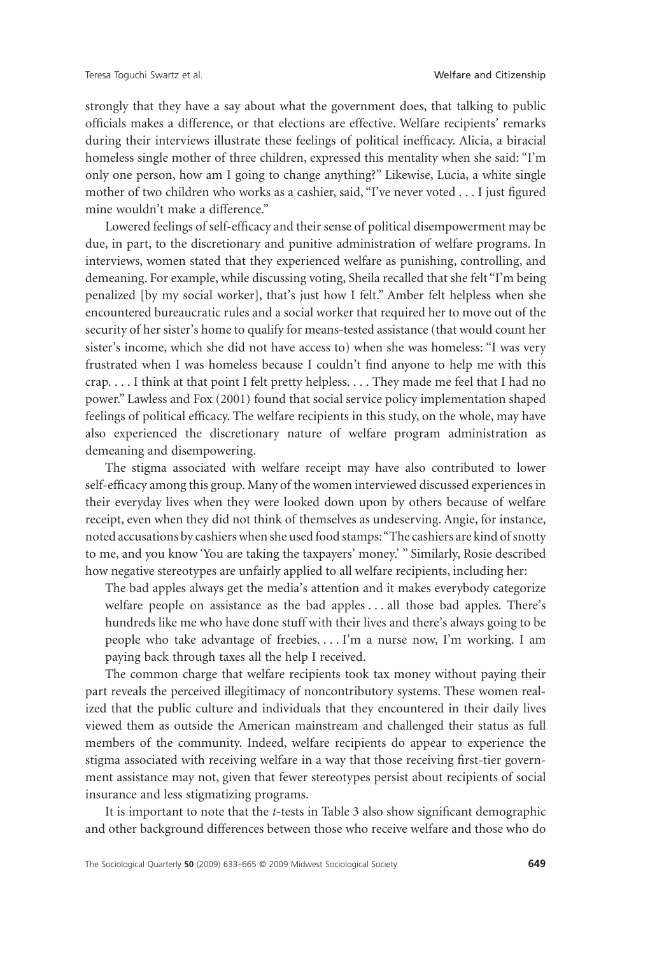strongly that they have a say about what the government does, that talking to public officials makes a difference, or that elections are effective. Welfare recipients' remarks during their interviews illustrate these feelings of political inefficacy. Alicia, a biracial homeless single mother of three children, expressed this mentality when she said: "I'm only one person, how am I going to change anything?" Likewise, Lucia, a white single mother of two children who works as a cashier, said, "I've never voted . . . I just figured mine wouldn't make a difference."

Lowered feelings of self-efficacy and their sense of political disempowerment may be due, in part, to the discretionary and punitive administration of welfare programs. In interviews, women stated that they experienced welfare as punishing, controlling, and demeaning. For example, while discussing voting, Sheila recalled that she felt "I'm being penalized [by my social worker], that's just how I felt." Amber felt helpless when she encountered bureaucratic rules and a social worker that required her to move out of the security of her sister's home to qualify for means-tested assistance (that would count her sister's income, which she did not have access to) when she was homeless: "I was very frustrated when I was homeless because I couldn't find anyone to help me with this crap. . . . I think at that point I felt pretty helpless. . . . They made me feel that I had no power." Lawless and Fox (2001) found that social service policy implementation shaped feelings of political efficacy. The welfare recipients in this study, on the whole, may have also experienced the discretionary nature of welfare program administration as demeaning and disempowering.

The stigma associated with welfare receipt may have also contributed to lower self-efficacy among this group. Many of the women interviewed discussed experiences in their everyday lives when they were looked down upon by others because of welfare receipt, even when they did not think of themselves as undeserving. Angie, for instance, noted accusations by cashiers when she used food stamps:"The cashiers are kind of snotty to me, and you know 'You are taking the taxpayers' money.' " Similarly, Rosie described how negative stereotypes are unfairly applied to all welfare recipients, including her:

The bad apples always get the media's attention and it makes everybody categorize welfare people on assistance as the bad apples . . . all those bad apples. There's hundreds like me who have done stuff with their lives and there's always going to be people who take advantage of freebies. . . . I'm a nurse now, I'm working. I am paying back through taxes all the help I received.

The common charge that welfare recipients took tax money without paying their part reveals the perceived illegitimacy of noncontributory systems. These women realized that the public culture and individuals that they encountered in their daily lives viewed them as outside the American mainstream and challenged their status as full members of the community. Indeed, welfare recipients do appear to experience the stigma associated with receiving welfare in a way that those receiving first-tier government assistance may not, given that fewer stereotypes persist about recipients of social insurance and less stigmatizing programs.

It is important to note that the *t*-tests in Table 3 also show significant demographic and other background differences between those who receive welfare and those who do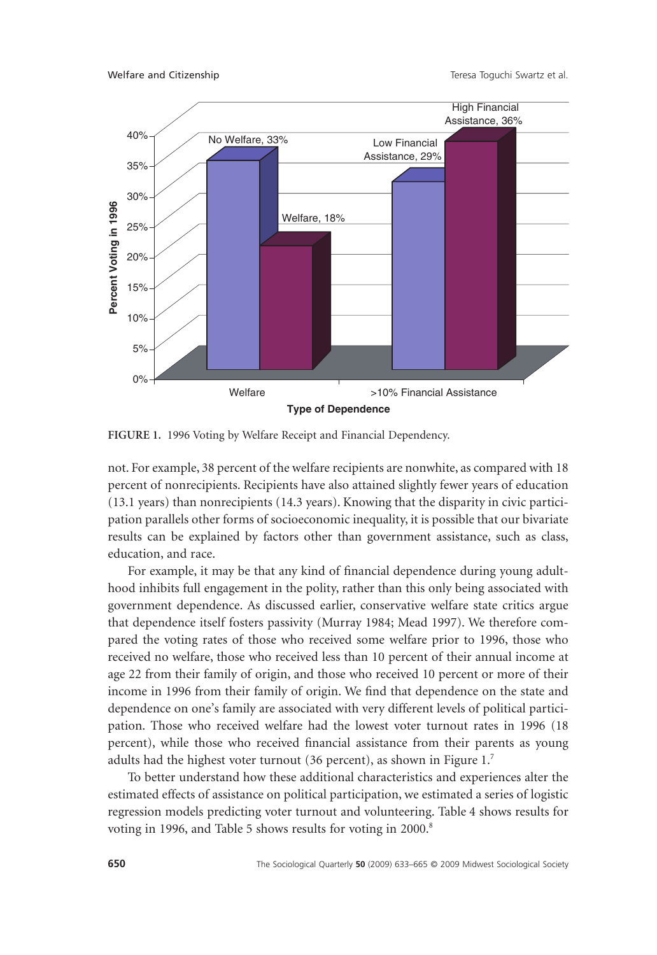

**FIGURE 1.** 1996 Voting by Welfare Receipt and Financial Dependency.

not. For example, 38 percent of the welfare recipients are nonwhite, as compared with 18 percent of nonrecipients. Recipients have also attained slightly fewer years of education (13.1 years) than nonrecipients (14.3 years). Knowing that the disparity in civic participation parallels other forms of socioeconomic inequality, it is possible that our bivariate results can be explained by factors other than government assistance, such as class, education, and race.

For example, it may be that any kind of financial dependence during young adulthood inhibits full engagement in the polity, rather than this only being associated with government dependence. As discussed earlier, conservative welfare state critics argue that dependence itself fosters passivity (Murray 1984; Mead 1997). We therefore compared the voting rates of those who received some welfare prior to 1996, those who received no welfare, those who received less than 10 percent of their annual income at age 22 from their family of origin, and those who received 10 percent or more of their income in 1996 from their family of origin. We find that dependence on the state and dependence on one's family are associated with very different levels of political participation. Those who received welfare had the lowest voter turnout rates in 1996 (18 percent), while those who received financial assistance from their parents as young adults had the highest voter turnout (36 percent), as shown in Figure 1.7

To better understand how these additional characteristics and experiences alter the estimated effects of assistance on political participation, we estimated a series of logistic regression models predicting voter turnout and volunteering. Table 4 shows results for voting in 1996, and Table 5 shows results for voting in 2000.<sup>8</sup>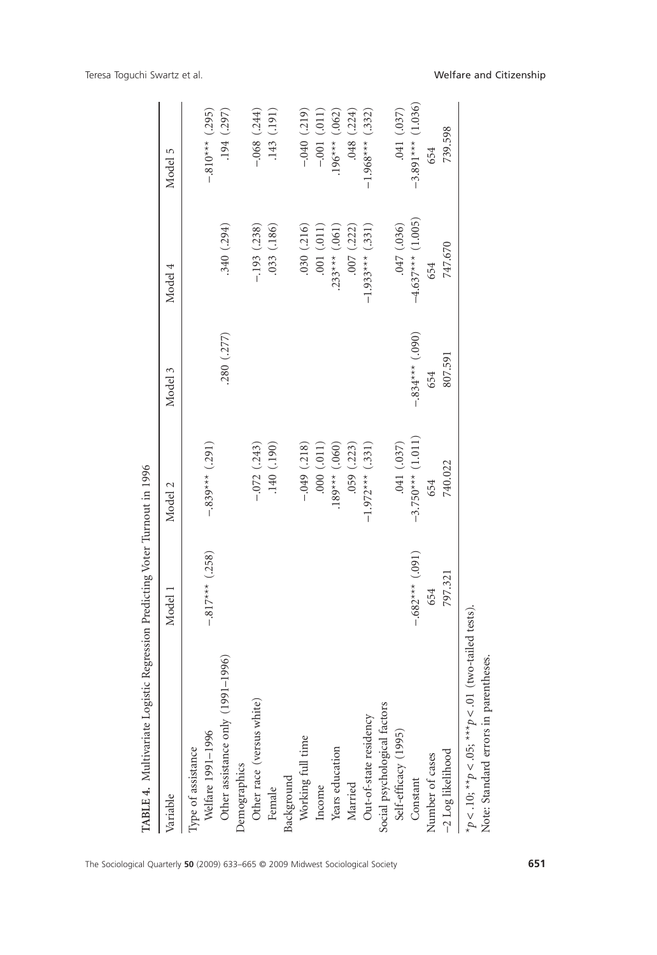| TABLE 4. Multivariate Logistic Regression Predicting Voter Turnout in 1996 |                   |                     |                   |                     |                     |
|----------------------------------------------------------------------------|-------------------|---------------------|-------------------|---------------------|---------------------|
| Variable                                                                   | Model 1           | Model 2             | Model 3           | Model 4             | Model 5             |
| Type of assistance                                                         |                   |                     |                   |                     |                     |
| Welfare 1991-1996                                                          | $-.817***$ (.258) | $-0.839***$ (.291)  |                   |                     | $-.810***$ (.295)   |
| Other assistance only (1991-1996)                                          |                   |                     | .280(.277)        | .340(.294)          | (194)(297)          |
| Demographics                                                               |                   |                     |                   |                     |                     |
| Other race (versus white)                                                  |                   | $-0.072$ (.243)     |                   | $-193(0.238)$       | $-068(.244)$        |
| Female                                                                     |                   | (140)(190)          |                   | .033(.186)          | .143(.191)          |
| Background                                                                 |                   |                     |                   |                     |                     |
| Working full time                                                          |                   | $-0.49(0.218)$      |                   | .030(.216)          | $-0.040(0.219)$     |
| Income                                                                     |                   | (0.000)(0.011)      |                   | .001(0.011)         | $-0.01(0.11)$       |
| Years education                                                            |                   | $(.060)$ *** (.060) |                   | $.233***$ $(.061)$  | $.196***$ $(.062)$  |
| Married                                                                    |                   | .059(.223)          |                   | .007(.222)          | .048(.224)          |
| Out-of-state residency                                                     |                   | $-1.972***$ (.331)  |                   | $-1.933***$ (.331)  | $-1.968***$ (.332)  |
| Social psychological factors                                               |                   |                     |                   |                     |                     |
| Self-efficacy (1995)                                                       |                   | (0.037)             |                   | (0.036)             | .041(037)           |
| Constant                                                                   | $-.682***(.091)$  | $-3.750***$ (1.011) | $-.834***$ (.090) | $-4.637***$ (1.005) | $-3.891***$ (1.036) |
| Number of cases                                                            | 654               | 654                 | 654               | 654                 | 654                 |
| -2 Log likelihood                                                          | 797.321           | 740.022             | 807.591           | 747.670             | 739.598             |
| * $p < 10$ ; ** $p < 0.05$ ; *** $p < 0.01$ (two-tailed tests).            |                   |                     |                   |                     |                     |
| Note: Standard errors in parentheses.                                      |                   |                     |                   |                     |                     |

### Teresa Toguchi Swartz et al. welfare and Citizenship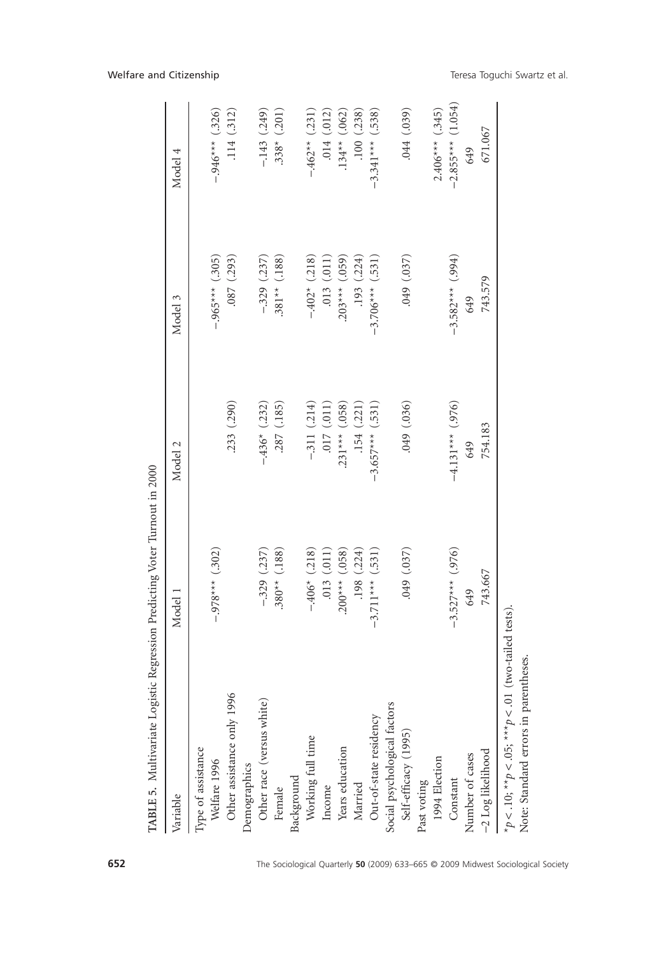| TABLE 5. Multivariate Logistic Regression Predicting Voter Turnout in 2000                               |                    |                    |                    |                     |
|----------------------------------------------------------------------------------------------------------|--------------------|--------------------|--------------------|---------------------|
| Variable                                                                                                 | Model 1            | Model 2            | Model 3            | Model 4             |
| Type of assistance                                                                                       |                    |                    |                    |                     |
| Welfare 1996                                                                                             | $-978***$ (.302)   |                    | $-.965***$ (.305)  | $-946***$ (.326)    |
| Other assistance only 1996                                                                               |                    | .233(.290)         | .087(.293)         | .114(.312)          |
| Demographics                                                                                             |                    |                    |                    |                     |
| Other race (versus white)                                                                                | $-329(0.237)$      | $-.436*(.232)$     | $-329$ $(237)$     | $-.143(.249)$       |
| Female                                                                                                   | $.380**$ (.188)    | .287(.185)         | $.381**$ (.188)    | $.338*(.201)$       |
| Background                                                                                               |                    |                    |                    |                     |
| Working full time                                                                                        | $-406$ (.218)      | $-.311(.214)$      | $-.402*(.218)$     | $-462**$ (.231)     |
| Income                                                                                                   | .013(011)          | .017(011)          | .013(0.011)        | .014(.012)          |
| Years education                                                                                          | $.200***$ (.058)   | $.231***$ (.058)   | (0.059)            | $.134**$ $(.062)$   |
| Married                                                                                                  | .198(.224)         | .154(.221)         | .193(.224)         | .100(.238)          |
| Out-of-state residency                                                                                   | $-3.711***$ (.531) | $-3.657***$ (.531) | $-3.706***$ (.531) | $-3.341***$ (.538)  |
| Social psychological factors                                                                             |                    |                    |                    |                     |
| Self-efficacy (1995)                                                                                     | (0.60, 0.049)      | (0.036)            | (0.60, 0.49)       | 044 (.039)          |
| 1994 Election<br>Past voting                                                                             |                    |                    |                    | $2.406***$ (.345)   |
|                                                                                                          |                    |                    |                    |                     |
| Constant                                                                                                 | $-3.527***$ (.976) | $-4.131***$ (.976) | $-3.582***$ (.994) | $-2.855***$ (1.054) |
| Number of cases                                                                                          | 649                | 649                | 649                | 649                 |
| $-2$ Log likelihood                                                                                      | 743.667            | 754.183            | 743.579            | 671.067             |
| * $p < 10$ ; ** $p < 0.05$ ; *** $p < 0.01$ (two-tailed tests).<br>Note: Standard errors in parentheses. |                    |                    |                    |                     |

Welfare and Citizenship Teresa Toguchi Swartz et al.

**652** The Sociological Quarterly **50** (2009) 633–665 © 2009 Midwest Sociological Society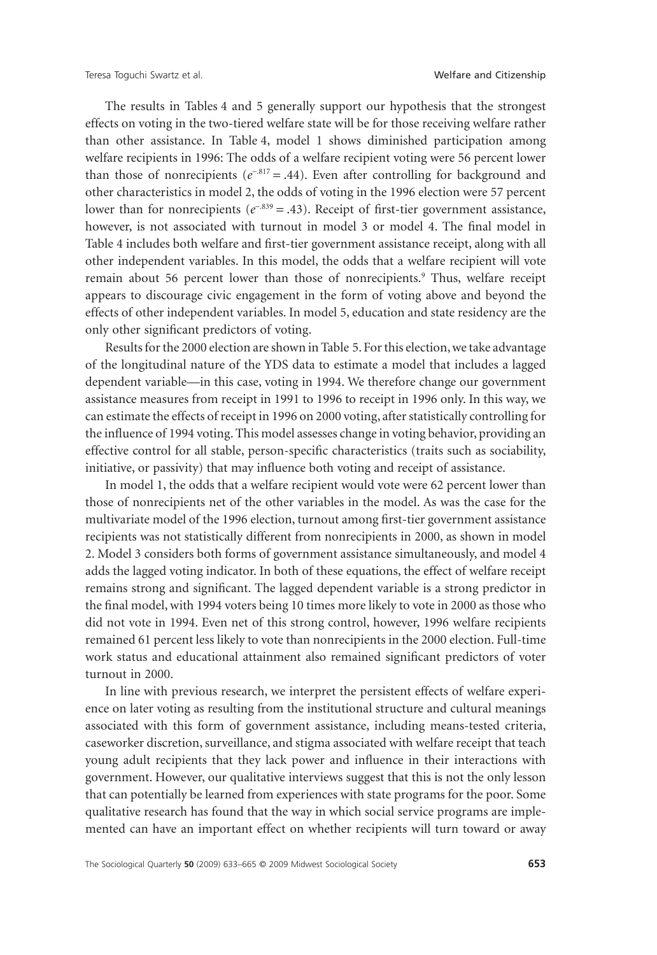The results in Tables 4 and 5 generally support our hypothesis that the strongest effects on voting in the two-tiered welfare state will be for those receiving welfare rather than other assistance. In Table 4, model 1 shows diminished participation among welfare recipients in 1996: The odds of a welfare recipient voting were 56 percent lower than those of nonrecipients ( $e^{-817} = .44$ ). Even after controlling for background and other characteristics in model 2, the odds of voting in the 1996 election were 57 percent lower than for nonrecipients  $(e^{-.839} = .43)$ . Receipt of first-tier government assistance, however, is not associated with turnout in model 3 or model 4. The final model in Table 4 includes both welfare and first-tier government assistance receipt, along with all other independent variables. In this model, the odds that a welfare recipient will vote remain about 56 percent lower than those of nonrecipients.<sup>9</sup> Thus, welfare receipt appears to discourage civic engagement in the form of voting above and beyond the effects of other independent variables. In model 5, education and state residency are the only other significant predictors of voting.

Results for the 2000 election are shown in Table 5. For this election, we take advantage of the longitudinal nature of the YDS data to estimate a model that includes a lagged dependent variable—in this case, voting in 1994. We therefore change our government assistance measures from receipt in 1991 to 1996 to receipt in 1996 only. In this way, we can estimate the effects of receipt in 1996 on 2000 voting, after statistically controlling for the influence of 1994 voting. This model assesses change in voting behavior, providing an effective control for all stable, person-specific characteristics (traits such as sociability, initiative, or passivity) that may influence both voting and receipt of assistance.

In model 1, the odds that a welfare recipient would vote were 62 percent lower than those of nonrecipients net of the other variables in the model. As was the case for the multivariate model of the 1996 election, turnout among first-tier government assistance recipients was not statistically different from nonrecipients in 2000, as shown in model 2. Model 3 considers both forms of government assistance simultaneously, and model 4 adds the lagged voting indicator. In both of these equations, the effect of welfare receipt remains strong and significant. The lagged dependent variable is a strong predictor in the final model, with 1994 voters being 10 times more likely to vote in 2000 as those who did not vote in 1994. Even net of this strong control, however, 1996 welfare recipients remained 61 percent less likely to vote than nonrecipients in the 2000 election. Full-time work status and educational attainment also remained significant predictors of voter turnout in 2000.

In line with previous research, we interpret the persistent effects of welfare experience on later voting as resulting from the institutional structure and cultural meanings associated with this form of government assistance, including means-tested criteria, caseworker discretion, surveillance, and stigma associated with welfare receipt that teach young adult recipients that they lack power and influence in their interactions with government. However, our qualitative interviews suggest that this is not the only lesson that can potentially be learned from experiences with state programs for the poor. Some qualitative research has found that the way in which social service programs are implemented can have an important effect on whether recipients will turn toward or away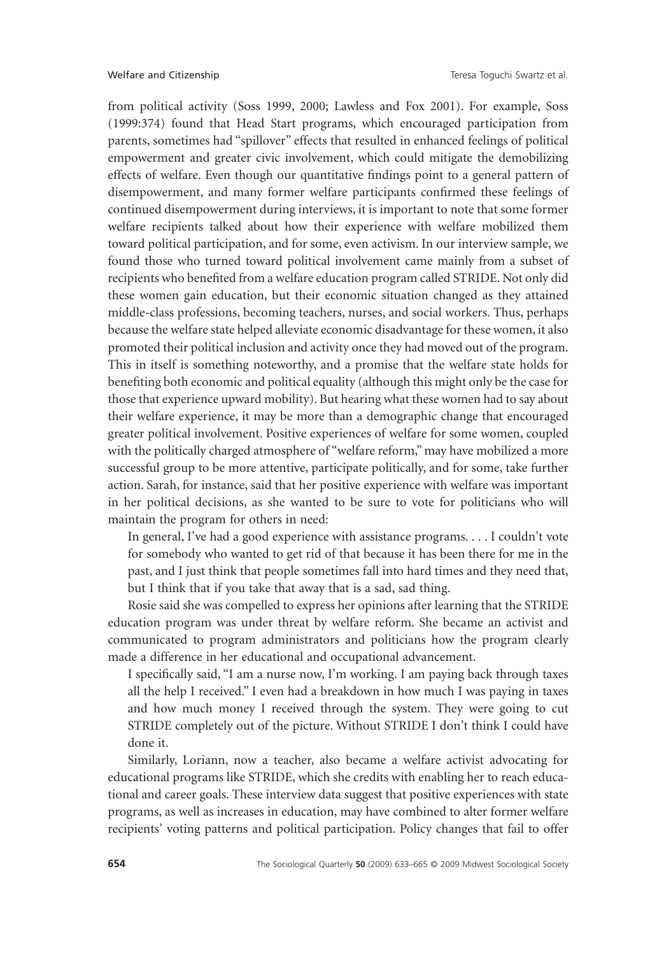from political activity (Soss 1999, 2000; Lawless and Fox 2001). For example, Soss (1999:374) found that Head Start programs, which encouraged participation from parents, sometimes had "spillover" effects that resulted in enhanced feelings of political empowerment and greater civic involvement, which could mitigate the demobilizing effects of welfare. Even though our quantitative findings point to a general pattern of disempowerment, and many former welfare participants confirmed these feelings of continued disempowerment during interviews, it is important to note that some former welfare recipients talked about how their experience with welfare mobilized them toward political participation, and for some, even activism. In our interview sample, we found those who turned toward political involvement came mainly from a subset of recipients who benefited from a welfare education program called STRIDE. Not only did these women gain education, but their economic situation changed as they attained middle-class professions, becoming teachers, nurses, and social workers. Thus, perhaps because the welfare state helped alleviate economic disadvantage for these women, it also promoted their political inclusion and activity once they had moved out of the program. This in itself is something noteworthy, and a promise that the welfare state holds for benefiting both economic and political equality (although this might only be the case for those that experience upward mobility). But hearing what these women had to say about their welfare experience, it may be more than a demographic change that encouraged greater political involvement. Positive experiences of welfare for some women, coupled with the politically charged atmosphere of "welfare reform," may have mobilized a more successful group to be more attentive, participate politically, and for some, take further action. Sarah, for instance, said that her positive experience with welfare was important in her political decisions, as she wanted to be sure to vote for politicians who will maintain the program for others in need:

In general, I've had a good experience with assistance programs.... I couldn't vote for somebody who wanted to get rid of that because it has been there for me in the past, and I just think that people sometimes fall into hard times and they need that, but I think that if you take that away that is a sad, sad thing.

Rosie said she was compelled to express her opinions after learning that the STRIDE education program was under threat by welfare reform. She became an activist and communicated to program administrators and politicians how the program clearly made a difference in her educational and occupational advancement.

I specifically said, "I am a nurse now, I'm working. I am paying back through taxes all the help I received." I even had a breakdown in how much I was paying in taxes and how much money I received through the system. They were going to cut STRIDE completely out of the picture. Without STRIDE I don't think I could have done it.

Similarly, Loriann, now a teacher, also became a welfare activist advocating for educational programs like STRIDE, which she credits with enabling her to reach educational and career goals. These interview data suggest that positive experiences with state programs, as well as increases in education, may have combined to alter former welfare recipients' voting patterns and political participation. Policy changes that fail to offer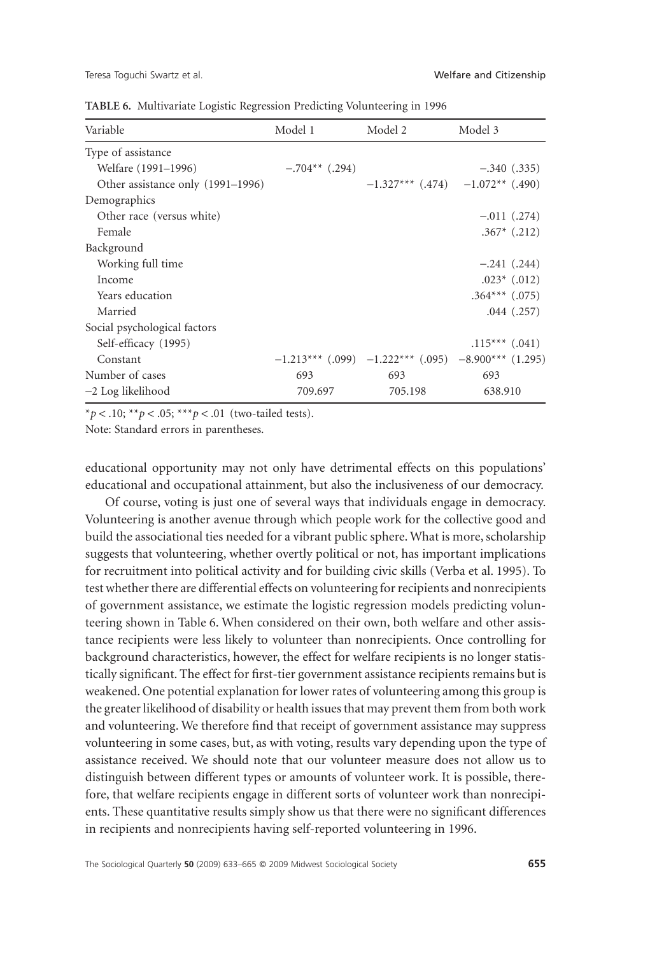| Variable                          | Model 1          | Model 2 | Model 3                                                   |
|-----------------------------------|------------------|---------|-----------------------------------------------------------|
| Type of assistance                |                  |         |                                                           |
| Welfare (1991–1996)               | $-.704**$ (.294) |         | $-.340(.335)$                                             |
| Other assistance only (1991–1996) |                  |         | $-1.327***$ (.474) $-1.072**$ (.490)                      |
| Demographics                      |                  |         |                                                           |
| Other race (versus white)         |                  |         | $-.011$ $(.274)$                                          |
| Female                            |                  |         | $.367*$ (.212)                                            |
| Background                        |                  |         |                                                           |
| Working full time                 |                  |         | $-.241$ $(.244)$                                          |
| Income                            |                  |         | $.023$ <sup>*</sup> $(.012)$                              |
| Years education                   |                  |         | $.364***$ $(.075)$                                        |
| Married                           |                  |         | .044(.257)                                                |
| Social psychological factors      |                  |         |                                                           |
| Self-efficacy (1995)              |                  |         | $.115***$ $(.041)$                                        |
| Constant                          |                  |         | $-1.213***$ (.099) $-1.222***$ (.095) $-8.900***$ (1.295) |
| Number of cases                   | 693              | 693     | 693                                                       |
| $-2$ Log likelihood               | 709.697          | 705.198 | 638.910                                                   |

**TABLE 6.** Multivariate Logistic Regression Predicting Volunteering in 1996

\* $p < .10$ ; \*\* $p < .05$ ; \*\*\* $p < .01$  (two-tailed tests).

Note: Standard errors in parentheses.

educational opportunity may not only have detrimental effects on this populations' educational and occupational attainment, but also the inclusiveness of our democracy.

Of course, voting is just one of several ways that individuals engage in democracy. Volunteering is another avenue through which people work for the collective good and build the associational ties needed for a vibrant public sphere. What is more, scholarship suggests that volunteering, whether overtly political or not, has important implications for recruitment into political activity and for building civic skills (Verba et al. 1995). To test whether there are differential effects on volunteering for recipients and nonrecipients of government assistance, we estimate the logistic regression models predicting volunteering shown in Table 6. When considered on their own, both welfare and other assistance recipients were less likely to volunteer than nonrecipients. Once controlling for background characteristics, however, the effect for welfare recipients is no longer statistically significant. The effect for first-tier government assistance recipients remains but is weakened. One potential explanation for lower rates of volunteering among this group is the greater likelihood of disability or health issues that may prevent them from both work and volunteering. We therefore find that receipt of government assistance may suppress volunteering in some cases, but, as with voting, results vary depending upon the type of assistance received. We should note that our volunteer measure does not allow us to distinguish between different types or amounts of volunteer work. It is possible, therefore, that welfare recipients engage in different sorts of volunteer work than nonrecipients. These quantitative results simply show us that there were no significant differences in recipients and nonrecipients having self-reported volunteering in 1996.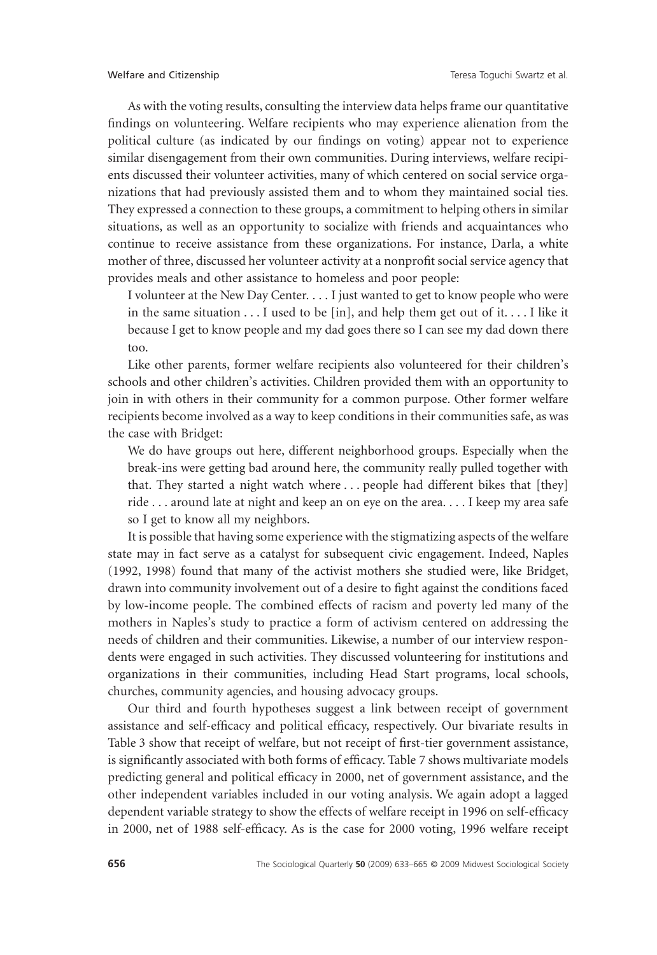As with the voting results, consulting the interview data helps frame our quantitative findings on volunteering. Welfare recipients who may experience alienation from the political culture (as indicated by our findings on voting) appear not to experience similar disengagement from their own communities. During interviews, welfare recipients discussed their volunteer activities, many of which centered on social service organizations that had previously assisted them and to whom they maintained social ties. They expressed a connection to these groups, a commitment to helping others in similar situations, as well as an opportunity to socialize with friends and acquaintances who continue to receive assistance from these organizations. For instance, Darla, a white mother of three, discussed her volunteer activity at a nonprofit social service agency that provides meals and other assistance to homeless and poor people:

I volunteer at the New Day Center. . . . I just wanted to get to know people who were in the same situation  $\dots$  I used to be [in], and help them get out of it.  $\dots$  I like it because I get to know people and my dad goes there so I can see my dad down there too.

Like other parents, former welfare recipients also volunteered for their children's schools and other children's activities. Children provided them with an opportunity to join in with others in their community for a common purpose. Other former welfare recipients become involved as a way to keep conditions in their communities safe, as was the case with Bridget:

We do have groups out here, different neighborhood groups. Especially when the break-ins were getting bad around here, the community really pulled together with that. They started a night watch where . . . people had different bikes that [they] ride . . . around late at night and keep an on eye on the area. . . . I keep my area safe so I get to know all my neighbors.

It is possible that having some experience with the stigmatizing aspects of the welfare state may in fact serve as a catalyst for subsequent civic engagement. Indeed, Naples (1992, 1998) found that many of the activist mothers she studied were, like Bridget, drawn into community involvement out of a desire to fight against the conditions faced by low-income people. The combined effects of racism and poverty led many of the mothers in Naples's study to practice a form of activism centered on addressing the needs of children and their communities. Likewise, a number of our interview respondents were engaged in such activities. They discussed volunteering for institutions and organizations in their communities, including Head Start programs, local schools, churches, community agencies, and housing advocacy groups.

Our third and fourth hypotheses suggest a link between receipt of government assistance and self-efficacy and political efficacy, respectively. Our bivariate results in Table 3 show that receipt of welfare, but not receipt of first-tier government assistance, is significantly associated with both forms of efficacy. Table 7 shows multivariate models predicting general and political efficacy in 2000, net of government assistance, and the other independent variables included in our voting analysis. We again adopt a lagged dependent variable strategy to show the effects of welfare receipt in 1996 on self-efficacy in 2000, net of 1988 self-efficacy. As is the case for 2000 voting, 1996 welfare receipt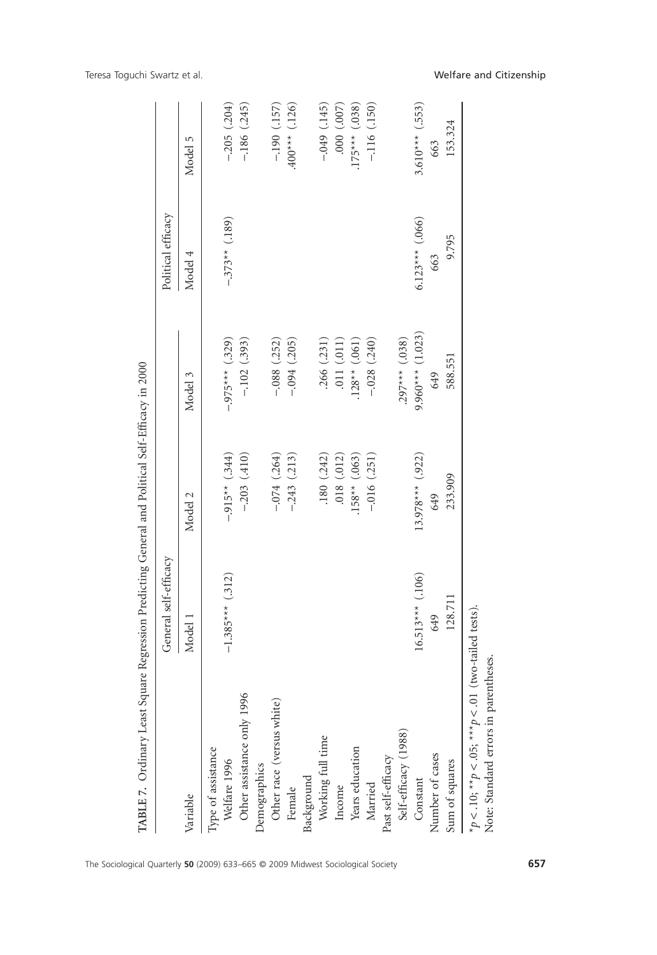|                                                                                                         | General self-efficacy |                    |                    | Political efficacy |                   |
|---------------------------------------------------------------------------------------------------------|-----------------------|--------------------|--------------------|--------------------|-------------------|
| Variable                                                                                                | Model 1               | Model 2            | Model 3            | Model 4            | Model 5           |
| Type of assistance                                                                                      |                       |                    |                    |                    |                   |
| Welfare 1996                                                                                            | $-1.385***$ (.312)    | $-0.915**$ (.344)  | $-0.975***$ (.329) | $-.373**(.189)$    | $-205(204)$       |
| Other assistance only 1996                                                                              |                       | $-203(410)$        | $-102(393)$        |                    | $-186(0.245)$     |
| Demographics                                                                                            |                       |                    |                    |                    |                   |
| Other race (versus white)                                                                               |                       | $-074(0.264)$      | $-0.088$ (.252)    |                    | $-190(157)$       |
| Female                                                                                                  |                       | $-243(213)$        | $-0.094(0.205)$    |                    | $.400***$ (.126)  |
| Background                                                                                              |                       |                    |                    |                    |                   |
| Working full time                                                                                       |                       | .180(.242)         | .266(.231)         |                    | $-049(.145)$      |
| Income                                                                                                  |                       | .018(0.012)        | .011(0.011)        |                    | (0.000, 0.007)    |
| Years education                                                                                         |                       | $.158**$ (.063)    | $.128**$ (.061)    |                    | $.175***$ (.038)  |
| Married                                                                                                 |                       | $-0.016(251)$      | $-0.028$ (.240)    |                    | $-116(150)$       |
| Past self-efficacy                                                                                      |                       |                    |                    |                    |                   |
| Self-efficacy (1988)                                                                                    |                       |                    | $.297***$ $(.038)$ |                    |                   |
| Constant                                                                                                | $16.513***$ (.106)    | $13.978***$ (.922) | $9.960***$ (1.023) | $6.123***$ (.066)  | $3.610***$ (.553) |
| Number of cases                                                                                         | 649                   | 649                | 649                | 663                | 663               |
| Sum of squares                                                                                          | 128.711               | 233.909            | 588.55             | 9.795              | 153.324           |
| $*_{p} < 10;$ $*_{p} < .05;$ $*_{p} < .01$ (two-tailed tests).<br>Note: Standard errors in parentheses. |                       |                    |                    |                    |                   |

Teresa Toguchi Swartz et al. welfare and Citizenship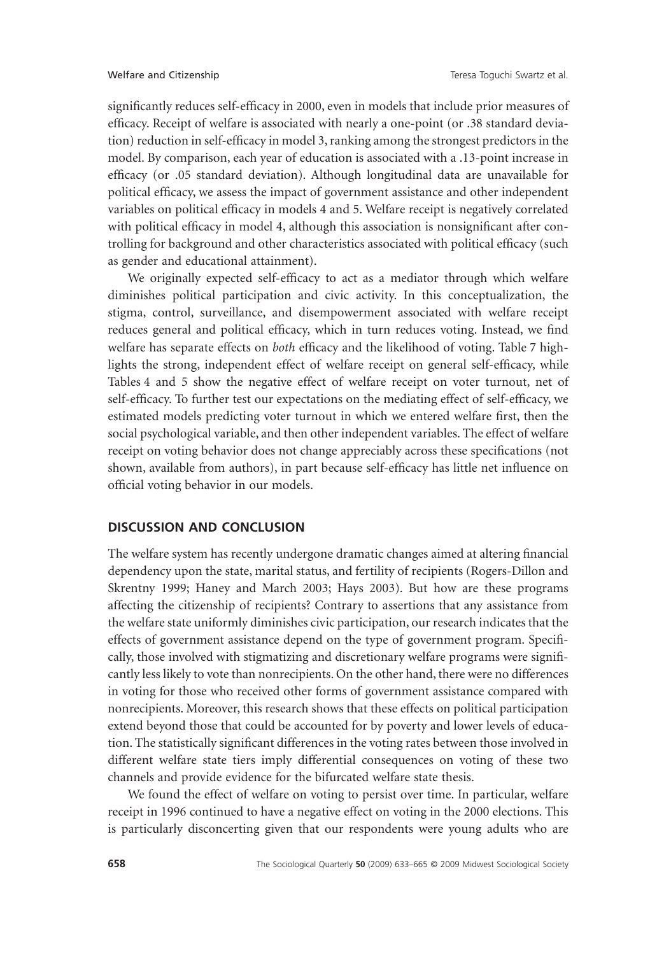significantly reduces self-efficacy in 2000, even in models that include prior measures of efficacy. Receipt of welfare is associated with nearly a one-point (or .38 standard deviation) reduction in self-efficacy in model 3, ranking among the strongest predictors in the model. By comparison, each year of education is associated with a .13-point increase in efficacy (or .05 standard deviation). Although longitudinal data are unavailable for political efficacy, we assess the impact of government assistance and other independent variables on political efficacy in models 4 and 5. Welfare receipt is negatively correlated with political efficacy in model 4, although this association is nonsignificant after controlling for background and other characteristics associated with political efficacy (such as gender and educational attainment).

We originally expected self-efficacy to act as a mediator through which welfare diminishes political participation and civic activity. In this conceptualization, the stigma, control, surveillance, and disempowerment associated with welfare receipt reduces general and political efficacy, which in turn reduces voting. Instead, we find welfare has separate effects on *both* efficacy and the likelihood of voting. Table 7 highlights the strong, independent effect of welfare receipt on general self-efficacy, while Tables 4 and 5 show the negative effect of welfare receipt on voter turnout, net of self-efficacy. To further test our expectations on the mediating effect of self-efficacy, we estimated models predicting voter turnout in which we entered welfare first, then the social psychological variable, and then other independent variables. The effect of welfare receipt on voting behavior does not change appreciably across these specifications (not shown, available from authors), in part because self-efficacy has little net influence on official voting behavior in our models.

## **DISCUSSION AND CONCLUSION**

The welfare system has recently undergone dramatic changes aimed at altering financial dependency upon the state, marital status, and fertility of recipients (Rogers-Dillon and Skrentny 1999; Haney and March 2003; Hays 2003). But how are these programs affecting the citizenship of recipients? Contrary to assertions that any assistance from the welfare state uniformly diminishes civic participation, our research indicates that the effects of government assistance depend on the type of government program. Specifically, those involved with stigmatizing and discretionary welfare programs were significantly less likely to vote than nonrecipients. On the other hand, there were no differences in voting for those who received other forms of government assistance compared with nonrecipients. Moreover, this research shows that these effects on political participation extend beyond those that could be accounted for by poverty and lower levels of education. The statistically significant differences in the voting rates between those involved in different welfare state tiers imply differential consequences on voting of these two channels and provide evidence for the bifurcated welfare state thesis.

We found the effect of welfare on voting to persist over time. In particular, welfare receipt in 1996 continued to have a negative effect on voting in the 2000 elections. This is particularly disconcerting given that our respondents were young adults who are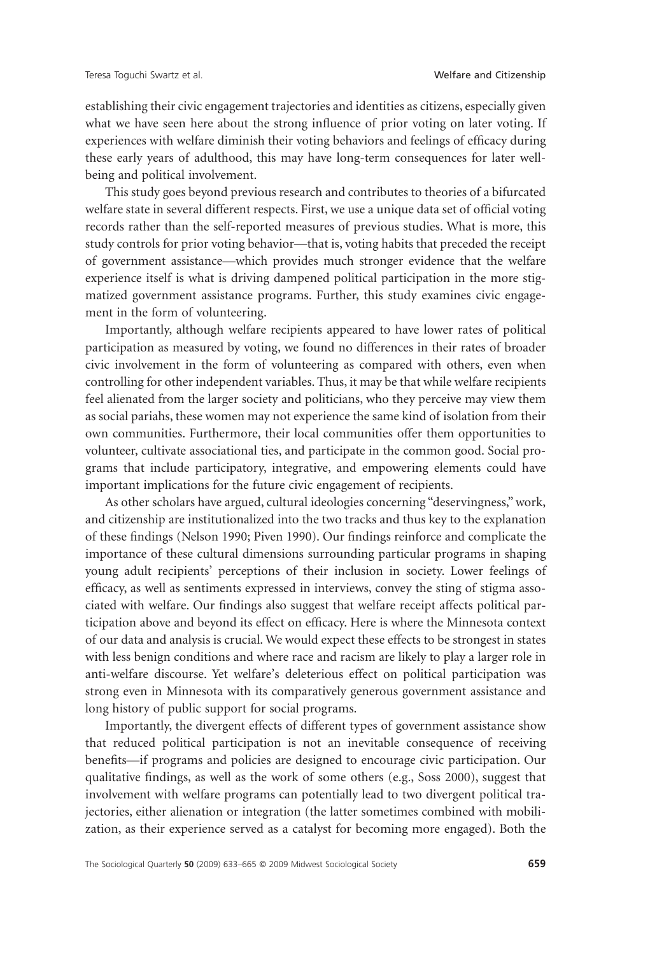establishing their civic engagement trajectories and identities as citizens, especially given what we have seen here about the strong influence of prior voting on later voting. If experiences with welfare diminish their voting behaviors and feelings of efficacy during these early years of adulthood, this may have long-term consequences for later wellbeing and political involvement.

This study goes beyond previous research and contributes to theories of a bifurcated welfare state in several different respects. First, we use a unique data set of official voting records rather than the self-reported measures of previous studies. What is more, this study controls for prior voting behavior—that is, voting habits that preceded the receipt of government assistance—which provides much stronger evidence that the welfare experience itself is what is driving dampened political participation in the more stigmatized government assistance programs. Further, this study examines civic engagement in the form of volunteering.

Importantly, although welfare recipients appeared to have lower rates of political participation as measured by voting, we found no differences in their rates of broader civic involvement in the form of volunteering as compared with others, even when controlling for other independent variables. Thus, it may be that while welfare recipients feel alienated from the larger society and politicians, who they perceive may view them as social pariahs, these women may not experience the same kind of isolation from their own communities. Furthermore, their local communities offer them opportunities to volunteer, cultivate associational ties, and participate in the common good. Social programs that include participatory, integrative, and empowering elements could have important implications for the future civic engagement of recipients.

As other scholars have argued, cultural ideologies concerning "deservingness," work, and citizenship are institutionalized into the two tracks and thus key to the explanation of these findings (Nelson 1990; Piven 1990). Our findings reinforce and complicate the importance of these cultural dimensions surrounding particular programs in shaping young adult recipients' perceptions of their inclusion in society. Lower feelings of efficacy, as well as sentiments expressed in interviews, convey the sting of stigma associated with welfare. Our findings also suggest that welfare receipt affects political participation above and beyond its effect on efficacy. Here is where the Minnesota context of our data and analysis is crucial. We would expect these effects to be strongest in states with less benign conditions and where race and racism are likely to play a larger role in anti-welfare discourse. Yet welfare's deleterious effect on political participation was strong even in Minnesota with its comparatively generous government assistance and long history of public support for social programs.

Importantly, the divergent effects of different types of government assistance show that reduced political participation is not an inevitable consequence of receiving benefits—if programs and policies are designed to encourage civic participation. Our qualitative findings, as well as the work of some others (e.g., Soss 2000), suggest that involvement with welfare programs can potentially lead to two divergent political trajectories, either alienation or integration (the latter sometimes combined with mobilization, as their experience served as a catalyst for becoming more engaged). Both the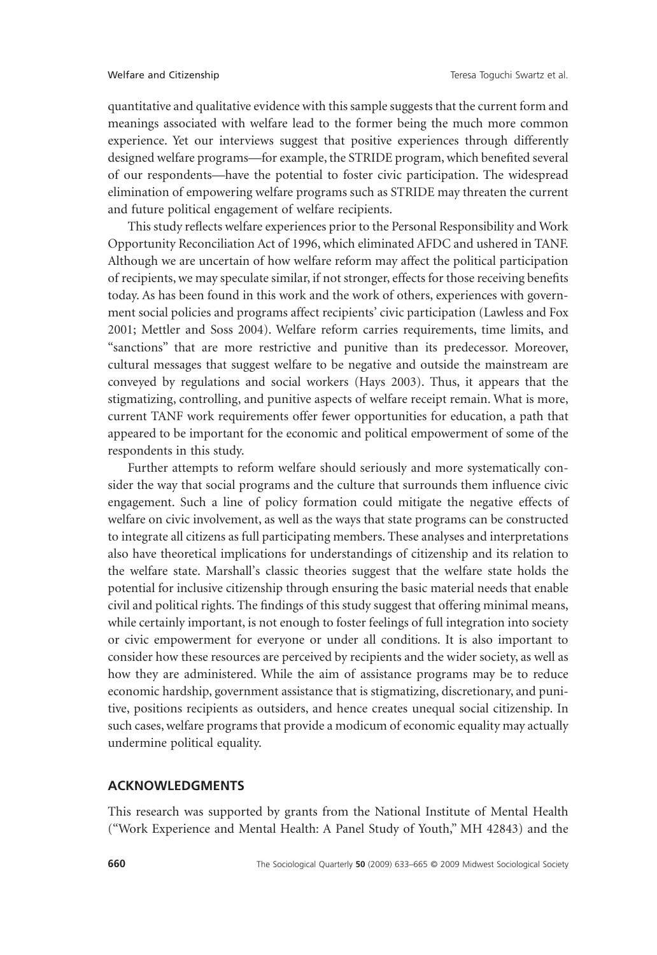quantitative and qualitative evidence with this sample suggests that the current form and meanings associated with welfare lead to the former being the much more common experience. Yet our interviews suggest that positive experiences through differently designed welfare programs—for example, the STRIDE program, which benefited several of our respondents—have the potential to foster civic participation. The widespread elimination of empowering welfare programs such as STRIDE may threaten the current and future political engagement of welfare recipients.

This study reflects welfare experiences prior to the Personal Responsibility and Work Opportunity Reconciliation Act of 1996, which eliminated AFDC and ushered in TANF. Although we are uncertain of how welfare reform may affect the political participation of recipients, we may speculate similar, if not stronger, effects for those receiving benefits today. As has been found in this work and the work of others, experiences with government social policies and programs affect recipients' civic participation (Lawless and Fox 2001; Mettler and Soss 2004). Welfare reform carries requirements, time limits, and "sanctions" that are more restrictive and punitive than its predecessor. Moreover, cultural messages that suggest welfare to be negative and outside the mainstream are conveyed by regulations and social workers (Hays 2003). Thus, it appears that the stigmatizing, controlling, and punitive aspects of welfare receipt remain. What is more, current TANF work requirements offer fewer opportunities for education, a path that appeared to be important for the economic and political empowerment of some of the respondents in this study.

Further attempts to reform welfare should seriously and more systematically consider the way that social programs and the culture that surrounds them influence civic engagement. Such a line of policy formation could mitigate the negative effects of welfare on civic involvement, as well as the ways that state programs can be constructed to integrate all citizens as full participating members. These analyses and interpretations also have theoretical implications for understandings of citizenship and its relation to the welfare state. Marshall's classic theories suggest that the welfare state holds the potential for inclusive citizenship through ensuring the basic material needs that enable civil and political rights. The findings of this study suggest that offering minimal means, while certainly important, is not enough to foster feelings of full integration into society or civic empowerment for everyone or under all conditions. It is also important to consider how these resources are perceived by recipients and the wider society, as well as how they are administered. While the aim of assistance programs may be to reduce economic hardship, government assistance that is stigmatizing, discretionary, and punitive, positions recipients as outsiders, and hence creates unequal social citizenship. In such cases, welfare programs that provide a modicum of economic equality may actually undermine political equality.

### **ACKNOWLEDGMENTS**

This research was supported by grants from the National Institute of Mental Health ("Work Experience and Mental Health: A Panel Study of Youth," MH 42843) and the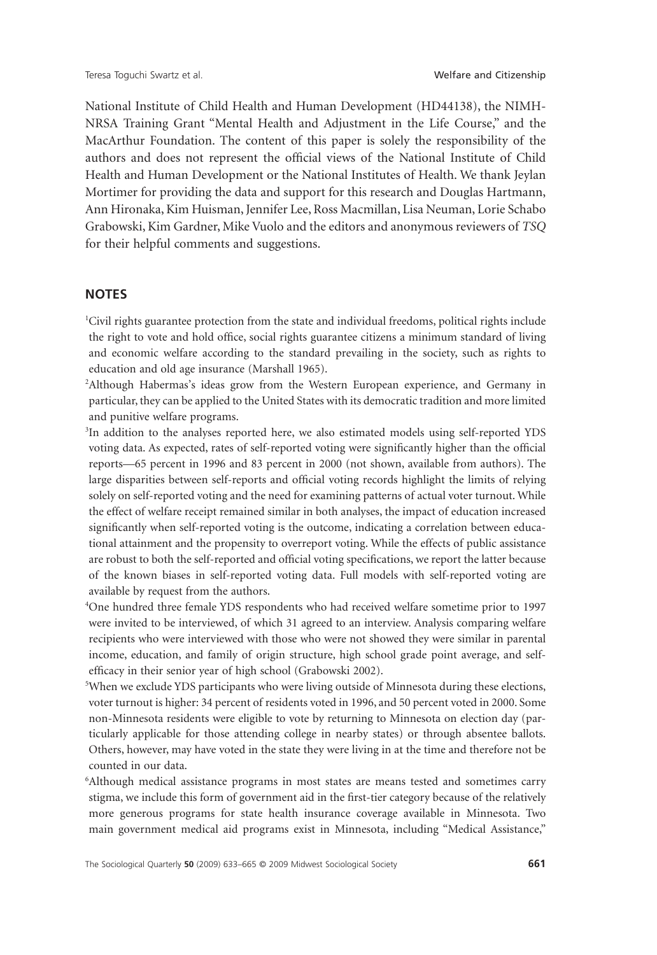National Institute of Child Health and Human Development (HD44138), the NIMH-NRSA Training Grant "Mental Health and Adjustment in the Life Course," and the MacArthur Foundation. The content of this paper is solely the responsibility of the authors and does not represent the official views of the National Institute of Child Health and Human Development or the National Institutes of Health. We thank Jeylan Mortimer for providing the data and support for this research and Douglas Hartmann, Ann Hironaka, Kim Huisman, Jennifer Lee, Ross Macmillan, Lisa Neuman, Lorie Schabo Grabowski, Kim Gardner, Mike Vuolo and the editors and anonymous reviewers of *TSQ* for their helpful comments and suggestions.

#### **NOTES**

<sup>1</sup>Civil rights guarantee protection from the state and individual freedoms, political rights include the right to vote and hold office, social rights guarantee citizens a minimum standard of living and economic welfare according to the standard prevailing in the society, such as rights to education and old age insurance (Marshall 1965).

- <sup>2</sup>Although Habermas's ideas grow from the Western European experience, and Germany in particular, they can be applied to the United States with its democratic tradition and more limited and punitive welfare programs.
- <sup>3</sup>In addition to the analyses reported here, we also estimated models using self-reported YDS voting data. As expected, rates of self-reported voting were significantly higher than the official reports—65 percent in 1996 and 83 percent in 2000 (not shown, available from authors). The large disparities between self-reports and official voting records highlight the limits of relying solely on self-reported voting and the need for examining patterns of actual voter turnout. While the effect of welfare receipt remained similar in both analyses, the impact of education increased significantly when self-reported voting is the outcome, indicating a correlation between educational attainment and the propensity to overreport voting. While the effects of public assistance are robust to both the self-reported and official voting specifications, we report the latter because of the known biases in self-reported voting data. Full models with self-reported voting are available by request from the authors.
- 4 One hundred three female YDS respondents who had received welfare sometime prior to 1997 were invited to be interviewed, of which 31 agreed to an interview. Analysis comparing welfare recipients who were interviewed with those who were not showed they were similar in parental income, education, and family of origin structure, high school grade point average, and selfefficacy in their senior year of high school (Grabowski 2002).
- 5 When we exclude YDS participants who were living outside of Minnesota during these elections, voter turnout is higher: 34 percent of residents voted in 1996, and 50 percent voted in 2000. Some non-Minnesota residents were eligible to vote by returning to Minnesota on election day (particularly applicable for those attending college in nearby states) or through absentee ballots. Others, however, may have voted in the state they were living in at the time and therefore not be counted in our data.
- 6 Although medical assistance programs in most states are means tested and sometimes carry stigma, we include this form of government aid in the first-tier category because of the relatively more generous programs for state health insurance coverage available in Minnesota. Two main government medical aid programs exist in Minnesota, including "Medical Assistance,"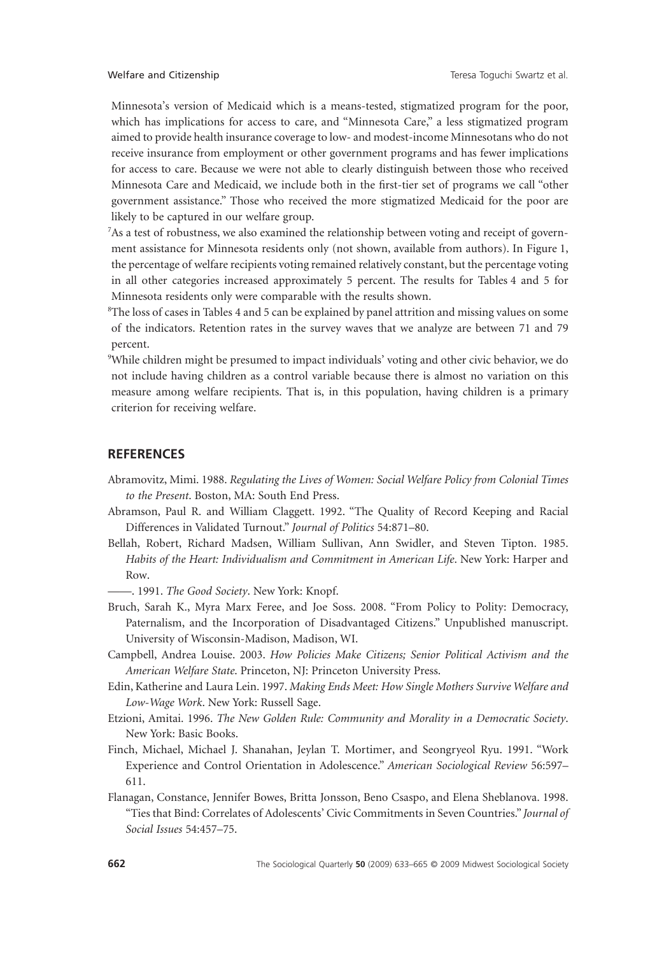Welfare and Citizenship Teresa Toguchi Swartz et al.

Minnesota's version of Medicaid which is a means-tested, stigmatized program for the poor, which has implications for access to care, and "Minnesota Care," a less stigmatized program aimed to provide health insurance coverage to low- and modest-income Minnesotans who do not receive insurance from employment or other government programs and has fewer implications for access to care. Because we were not able to clearly distinguish between those who received Minnesota Care and Medicaid, we include both in the first-tier set of programs we call "other government assistance." Those who received the more stigmatized Medicaid for the poor are likely to be captured in our welfare group.

7 As a test of robustness, we also examined the relationship between voting and receipt of government assistance for Minnesota residents only (not shown, available from authors). In Figure 1, the percentage of welfare recipients voting remained relatively constant, but the percentage voting in all other categories increased approximately 5 percent. The results for Tables 4 and 5 for Minnesota residents only were comparable with the results shown.

8 The loss of cases in Tables 4 and 5 can be explained by panel attrition and missing values on some of the indicators. Retention rates in the survey waves that we analyze are between 71 and 79 percent.

9 While children might be presumed to impact individuals' voting and other civic behavior, we do not include having children as a control variable because there is almost no variation on this measure among welfare recipients. That is, in this population, having children is a primary criterion for receiving welfare.

#### **REFERENCES**

- Abramovitz, Mimi. 1988. *Regulating the Lives of Women: Social Welfare Policy from Colonial Times to the Present*. Boston, MA: South End Press.
- Abramson, Paul R. and William Claggett. 1992. "The Quality of Record Keeping and Racial Differences in Validated Turnout." *Journal of Politics* 54:871–80.
- Bellah, Robert, Richard Madsen, William Sullivan, Ann Swidler, and Steven Tipton. 1985. *Habits of the Heart: Individualism and Commitment in American Life*. New York: Harper and Row.
- ——. 1991. *The Good Society*. New York: Knopf.
- Bruch, Sarah K., Myra Marx Feree, and Joe Soss. 2008. "From Policy to Polity: Democracy, Paternalism, and the Incorporation of Disadvantaged Citizens." Unpublished manuscript. University of Wisconsin-Madison, Madison, WI.
- Campbell, Andrea Louise. 2003. *How Policies Make Citizens; Senior Political Activism and the American Welfare State*. Princeton, NJ: Princeton University Press.
- Edin, Katherine and Laura Lein. 1997. *Making Ends Meet: How Single Mothers Survive Welfare and Low-Wage Work*. New York: Russell Sage.
- Etzioni, Amitai. 1996. *The New Golden Rule: Community and Morality in a Democratic Society*. New York: Basic Books.
- Finch, Michael, Michael J. Shanahan, Jeylan T. Mortimer, and Seongryeol Ryu. 1991. "Work Experience and Control Orientation in Adolescence." *American Sociological Review* 56:597– 611.
- Flanagan, Constance, Jennifer Bowes, Britta Jonsson, Beno Csaspo, and Elena Sheblanova. 1998. "Ties that Bind: Correlates of Adolescents' Civic Commitments in Seven Countries." *Journal of Social Issues* 54:457–75.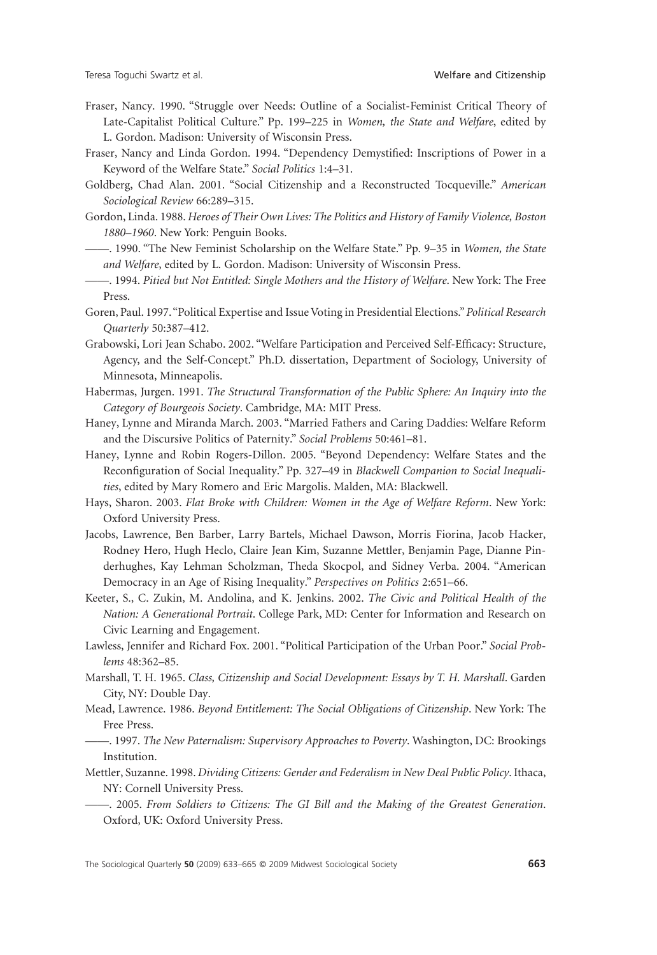- Fraser, Nancy. 1990. "Struggle over Needs: Outline of a Socialist-Feminist Critical Theory of Late-Capitalist Political Culture." Pp. 199–225 in *Women, the State and Welfare*, edited by L. Gordon. Madison: University of Wisconsin Press.
- Fraser, Nancy and Linda Gordon. 1994. "Dependency Demystified: Inscriptions of Power in a Keyword of the Welfare State." *Social Politics* 1:4–31.
- Goldberg, Chad Alan. 2001. "Social Citizenship and a Reconstructed Tocqueville." *American Sociological Review* 66:289–315.
- Gordon, Linda. 1988. *Heroes of Their Own Lives: The Politics and History of Family Violence, Boston 1880–1960*. New York: Penguin Books.
- ——. 1990. "The New Feminist Scholarship on the Welfare State." Pp. 9–35 in *Women, the State and Welfare*, edited by L. Gordon. Madison: University of Wisconsin Press.
- ——. 1994. *Pitied but Not Entitled: Single Mothers and the History of Welfare*. New York: The Free Press.
- Goren, Paul. 1997."Political Expertise and Issue Voting in Presidential Elections."*Political Research Quarterly* 50:387–412.
- Grabowski, Lori Jean Schabo. 2002. "Welfare Participation and Perceived Self-Efficacy: Structure, Agency, and the Self-Concept." Ph.D. dissertation, Department of Sociology, University of Minnesota, Minneapolis.
- Habermas, Jurgen. 1991. *The Structural Transformation of the Public Sphere: An Inquiry into the Category of Bourgeois Society*. Cambridge, MA: MIT Press.
- Haney, Lynne and Miranda March. 2003. "Married Fathers and Caring Daddies: Welfare Reform and the Discursive Politics of Paternity." *Social Problems* 50:461–81.
- Haney, Lynne and Robin Rogers-Dillon. 2005. "Beyond Dependency: Welfare States and the Reconfiguration of Social Inequality." Pp. 327–49 in *Blackwell Companion to Social Inequalities*, edited by Mary Romero and Eric Margolis. Malden, MA: Blackwell.
- Hays, Sharon. 2003. *Flat Broke with Children: Women in the Age of Welfare Reform*. New York: Oxford University Press.
- Jacobs, Lawrence, Ben Barber, Larry Bartels, Michael Dawson, Morris Fiorina, Jacob Hacker, Rodney Hero, Hugh Heclo, Claire Jean Kim, Suzanne Mettler, Benjamin Page, Dianne Pinderhughes, Kay Lehman Scholzman, Theda Skocpol, and Sidney Verba. 2004. "American Democracy in an Age of Rising Inequality." *Perspectives on Politics* 2:651–66.
- Keeter, S., C. Zukin, M. Andolina, and K. Jenkins. 2002. *The Civic and Political Health of the Nation: A Generational Portrait*. College Park, MD: Center for Information and Research on Civic Learning and Engagement.
- Lawless, Jennifer and Richard Fox. 2001. "Political Participation of the Urban Poor." *Social Problems* 48:362–85.
- Marshall, T. H. 1965. *Class, Citizenship and Social Development: Essays by T. H. Marshall*. Garden City, NY: Double Day.
- Mead, Lawrence. 1986. *Beyond Entitlement: The Social Obligations of Citizenship*. New York: The Free Press.
- ——. 1997. *The New Paternalism: Supervisory Approaches to Poverty*. Washington, DC: Brookings Institution.
- Mettler, Suzanne. 1998. *Dividing Citizens: Gender and Federalism in New Deal Public Policy*. Ithaca, NY: Cornell University Press.
	- ——. 2005. *From Soldiers to Citizens: The GI Bill and the Making of the Greatest Generation*. Oxford, UK: Oxford University Press.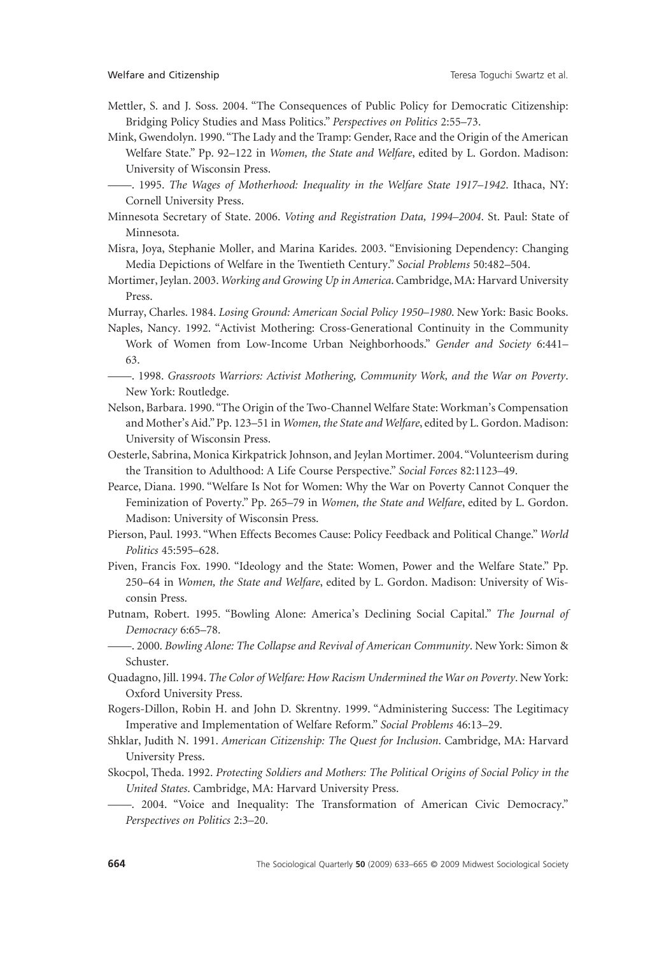- Mettler, S. and J. Soss. 2004. "The Consequences of Public Policy for Democratic Citizenship: Bridging Policy Studies and Mass Politics." *Perspectives on Politics* 2:55–73.
- Mink, Gwendolyn. 1990. "The Lady and the Tramp: Gender, Race and the Origin of the American Welfare State." Pp. 92–122 in *Women, the State and Welfare*, edited by L. Gordon. Madison: University of Wisconsin Press.
	- ——. 1995. *The Wages of Motherhood: Inequality in the Welfare State 1917–1942*. Ithaca, NY: Cornell University Press.
- Minnesota Secretary of State. 2006. *Voting and Registration Data, 1994–2004*. St. Paul: State of Minnesota.
- Misra, Joya, Stephanie Moller, and Marina Karides. 2003. "Envisioning Dependency: Changing Media Depictions of Welfare in the Twentieth Century." *Social Problems* 50:482–504.
- Mortimer, Jeylan. 2003. *Working and Growing Up in America*. Cambridge, MA: Harvard University Press.
- Murray, Charles. 1984. *Losing Ground: American Social Policy 1950–1980*. New York: Basic Books.
- Naples, Nancy. 1992. "Activist Mothering: Cross-Generational Continuity in the Community Work of Women from Low-Income Urban Neighborhoods." *Gender and Society* 6:441– 63.
- ——. 1998. *Grassroots Warriors: Activist Mothering, Community Work, and the War on Poverty*. New York: Routledge.
- Nelson, Barbara. 1990. "The Origin of the Two-Channel Welfare State: Workman's Compensation and Mother's Aid." Pp. 123–51 in *Women, the State and Welfare*, edited by L. Gordon. Madison: University of Wisconsin Press.
- Oesterle, Sabrina, Monica Kirkpatrick Johnson, and Jeylan Mortimer. 2004. "Volunteerism during the Transition to Adulthood: A Life Course Perspective." *Social Forces* 82:1123–49.
- Pearce, Diana. 1990. "Welfare Is Not for Women: Why the War on Poverty Cannot Conquer the Feminization of Poverty." Pp. 265–79 in *Women, the State and Welfare*, edited by L. Gordon. Madison: University of Wisconsin Press.
- Pierson, Paul. 1993. "When Effects Becomes Cause: Policy Feedback and Political Change." *World Politics* 45:595–628.
- Piven, Francis Fox. 1990. "Ideology and the State: Women, Power and the Welfare State." Pp. 250–64 in *Women, the State and Welfare*, edited by L. Gordon. Madison: University of Wisconsin Press.
- Putnam, Robert. 1995. "Bowling Alone: America's Declining Social Capital." *The Journal of Democracy* 6:65–78.
- ——. 2000. *Bowling Alone: The Collapse and Revival of American Community*. New York: Simon & Schuster.
- Quadagno, Jill. 1994. *The Color of Welfare: How Racism Undermined the War on Poverty*. New York: Oxford University Press.
- Rogers-Dillon, Robin H. and John D. Skrentny. 1999. "Administering Success: The Legitimacy Imperative and Implementation of Welfare Reform." *Social Problems* 46:13–29.
- Shklar, Judith N. 1991. *American Citizenship: The Quest for Inclusion*. Cambridge, MA: Harvard University Press.
- Skocpol, Theda. 1992. *Protecting Soldiers and Mothers: The Political Origins of Social Policy in the United States*. Cambridge, MA: Harvard University Press.
- ——. 2004. "Voice and Inequality: The Transformation of American Civic Democracy." *Perspectives on Politics* 2:3–20.